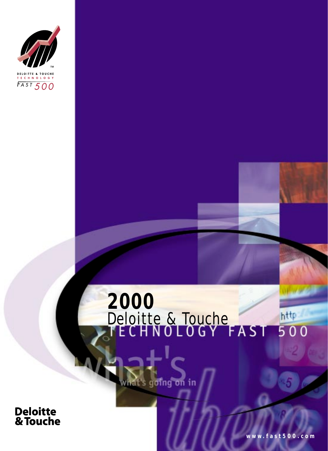

## **2000** Deloitte & Touche http  $500$

rat's going on in

**Deloitte<br>& Touche** 

**www.fast500.com**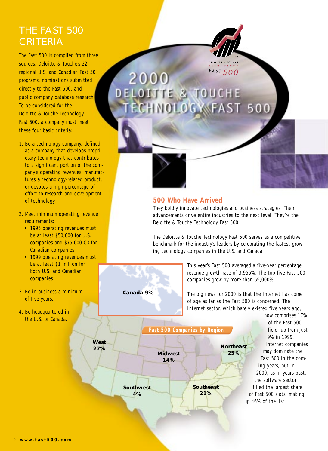### THE FAST 500 **CRITERIA**

The Fast 500 is compiled from three sources: Deloitte & Touche's 22 regional U.S. and Canadian Fast 50 programs, nominations submitted directly to the Fast 500, and public company database research. To be considered for the Deloitte & Touche Technology Fast 500, a company must meet these four basic criteria:

- 1. Be a technology company, defined as a company that develops proprietary technology that contributes to a significant portion of the company's operating revenues, manufactures a technology-related product, or devotes a high percentage of effort to research and development of technology.
- 2. Meet minimum operating revenue requirements:
	- 1995 operating revenues must be at least \$50,000 for U.S. companies and \$75,000 CD for Canadian companies
	- 1999 operating revenues must be at least \$1 million for both U.S. and Canadian companies
- 3. Be in business a minimum of five years.
- 4. Be headquartered in the U.S. or Canada.

2000 **TE & TOUCHE** OGWFAST 500



#### **500 Who Have Arrived**

They boldly innovate technologies and business strategies. Their advancements drive entire industries to the next level. They're the Deloitte & Touche Technology Fast 500.

 $FAST500$ 

The Deloitte & Touche Technology Fast 500 serves as a competitive benchmark for the industry's leaders by celebrating the fastest-growing technology companies in the U.S. and Canada.

> This year's Fast 500 averaged a five-year percentage revenue growth rate of 3,956%. The top five Fast 500 companies grew by more than 59,000%.

The big news for 2000 is that the Internet has come of age as far as the Fast 500 is concerned. The Internet sector, which barely existed five years ago,

**West 27% Southwest 4% Southeast 21% Northeast Midwest 25% 14%** *Fast 500 Companies by Region*

**Canada 9%**

now comprises 17% of the Fast 500 field, up from just 9% in 1999. Internet companies may dominate the Fast 500 in the coming years, but in 2000, as in years past, the software sector filled the largest share of Fast 500 slots, making up 46% of the list.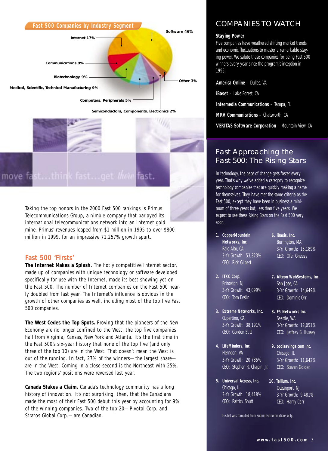

**Semiconductors, Components, Electronics 2%**



Taking the top honors in the 2000 Fast 500 rankings is Primus Telecommunications Group, a nimble company that parlayed its international telecommunications network into an Internet gold mine. Primus' revenues leaped from \$1 million in 1995 to over \$800 million in 1999, for an impressive 71,257% growth spurt.

#### **Fast 500 'Firsts'**

**The Internet Makes a Splash.** The hotly competitive Internet sector, made up of companies with unique technology or software developed specifically for use with the Internet, made its best showing yet on the Fast 500. The number of Internet companies on the Fast 500 nearly doubled from last year. The Internet's influence is obvious in the growth of other companies as well, including most of the top five Fast 500 companies.

**The West Cedes the Top Spots.** Proving that the pioneers of the New Economy are no longer confined to the West, the top five companies hail from Virginia, Kansas, New York and Atlanta. It's the first time in the Fast 500's six-year history that none of the top five (and only three of the top 10) are in the West. That doesn't mean the West is out of the running. In fact, 27% of the winners—the largest share are in the West. Coming in a close second is the Northeast with 25%. The two regions' positions were reversed last year.

**Canada Stakes a Claim.** Canada's technology community has a long history of innovation. It's not surprising, then, that the Canadians made the most of their Fast 500 debut this year by accounting for 9% of the winning companies. Two of the top 20—Pivotal Corp. and Stratos Global Corp.—are Canadian.

#### COMPANIES TO WATCH

#### **Staying Power**

Five companies have weathered shifting market trends and economic fluctuations to master a remarkable staying power. We salute these companies for being Fast 500 winners every year since the program's inception in 1995:

**America Online** – Dulles, VA

**iBaset** – Lake Forest, CA

**Intermedia Communications** – Tampa, FL

**MRV Communications** – Chatsworth, CA

**VERITAS Software Corporation** – Mountain View, CA

#### Fast Approaching the Fast 500: The Rising Stars

In technology, the pace of change gets faster every year. That's why we've added a category to recognize technology companies that are quickly making a name for themselves. They have met the same criteria as the Fast 500, except they have been in business a minimum of three years but, less than five years. We expect to see these Rising Stars on the Fast 500 very soon.

- **1. CopperMountain Networks, Inc.** Palo Alto, CA 3-Yr Growth: 53,323% CEO: Rick Gilbert
- **6. iBasis, Inc.** Burlington, MA 3-Yr Growth: 15,189% CEO: Ofer Gneezy

**7. Alteon WebSystems, Inc.** San Jose, CA 3-Yr Growth: 14,649% CEO: Dominic Orr

- **2. ITXC Corp.** Princeton, NJ 3-Yr Growth: 43,099% CEO: Tom Evslin
- **3. Extreme Networks, Inc.** Cupertino, CA 3-Yr Growth: 38,191% CEO: Gordon Stitt
- **4. LifeMinders, Inc.** Herndon, VA 3-Yr Growth: 20,785% CEO: Stephen R. Chapin, Jr.
- **5. Universal Access, Inc.** Chicago, IL 3-Yr Growth: 18,418% CEO: Patrick Shutt
- 3-Yr Growth: 12,051% CEO: Jeffrey S. Hussey **9. coolsavings.com inc.**

**8. F5 Networks Inc.** Seattle, WA

- Chicago, IL 3-Yr Growth: 11,642% CEO: Steven Golden
- **10. Tellium, Inc.** Oceanport, NJ 3-Yr Growth: 9,481% CEO: Harry Carr

This list was compiled from submitted nominations only.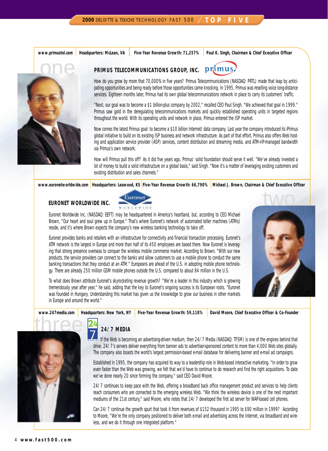**www.primustel.com Headquarters: McLean, VA Five-Year Revenue Growth: 71,257% Paul K. Singh, Chairman & Chief Executive Officer**



#### $pr_1$ imu PRIMUS TELECOMMUNICATIONS GROUP, INC.

How do you grow by more that 70,000% in five years? Primus Telecommunications (NASDAQ: PRTL) made that leap by anticipating opportunities and being ready before those opportunities came knocking. In 1995, Primus was reselling voice long-distance services. Eighteen months later, Primus had its own global telecommunications network in place to carry its customers' traffic.

"Next, our goal was to become a \$1 billion-plus company by 2002," recalled CEO Paul Singh. "We achieved that goal in 1999." Primus saw gold in the deregulating telecommunications markets and quickly established operating units in targeted regions throughout the world. With its operating units and network in place, Primus entered the ISP market.

Now comes the latest Primus goal: to become a \$10 billion Internet/data company. Last year the company introduced its iPrimus global initiative to build on its existing ISP business and network infrastructure. As part of that effort, Primus also offers Web hosting and application service provider (ASP) services, content distribution and streaming media, and ATM+IP-managed bandwidth via Primus's own network.

How will Primus pull this off? As it did five years ago, Primus' solid foundation should serve it well. "We've already invested a lot of money to build a solid infrastructure on a global basis," said Singh. "Now it's a matter of leveraging existing customers and existing distribution and sales channels."

www.euronetworldwide.com | Headquarters: Leawood, KS <mark>Five-Year Revenue Growth: 66,790% |</mark> Michael J. Brown, Chairman & Chief Executive Officer

#### **EURONET WORLDWIDE INC.**



Euronet Worldwide Inc. (NASDAQ: EEFT) may be headquartered in America's heartland, but, according to CEO Michael Brown, "Our heart and soul grew up in Europe." That's where Euronet's network of automated teller machines (ATMs) reside, and it's where Brown expects the company's new wireless banking technology to take off.

Euronet provides banks and retailers with an infrastructure for connectivity and financial transaction processing. Euronet's ATM network is the largest in Europe and more than half of its 450 employees are based there. Now Euronet is leveraging that strong presence overseas to conquer the wireless mobile commerce market. According to Brown, "With our new products, the service providers can connect to the banks and allow customers to use a mobile phone to conduct the same banking transactions that they conduct at an ATM." Europeans are ahead of the U.S. in adopting mobile phone technology. There are already 250 million GSM mobile phones outside the U.S. compared to about 84 million in the U.S.



To what does Brown attribute Euronet's skyrocketing revenue growth? "We're a leader in this industry which is growing tremendously year after year," he said, adding that the key to Euronet's ongoing success is its European roots. "Euronet was founded in Hungary. Understanding this market has given us the knowledge to grow our business in other markets in Europe and around the world."

# three

www.247media.com | Headquarters: New York, NY | Five-Year Revenue Growth: 59,118% | David Moore, Chief Executive Officer & Co-Founder



If the Web is becoming an advertising-driven medium, then 24/7 Media (NASDAQ: TFSM) is one of the engines behind that drive. 24/7's servers deliver everything from banner ads to advertiser-sponsored content to more than 4,000 Web sites globally. The company also boasts the world's largest permission-based e-mail database for delivering banner and e-mail ad campaigns.

Established in 1995, the company has acquired its way to a leadership role in Web-based interactive marketing. "In order to grow even faster than the Web was growing, we felt that we'd have to continue to do research and find the right acquisitions. To date we've done nearly 20 since forming the company," said CEO David Moore.

24/7 continues to keep pace with the Web, offering a broadband back office management product and services to help clients reach consumers who are connected to the emerging wireless Web. "We think the wireless device is one of the next important mediums of the 21st century," said Moore, who notes that 24/7 developed the first ad server for WAP-based cell phones.

Can 24/7 continue the growth spurt that took it from revenues of \$152 thousand in 1995 to \$90 million in 1999? According to Moore, "We're the only company positioned to deliver both e-mail and advertising across the Internet, via broadband and wireless, and we do it through one integrated platform."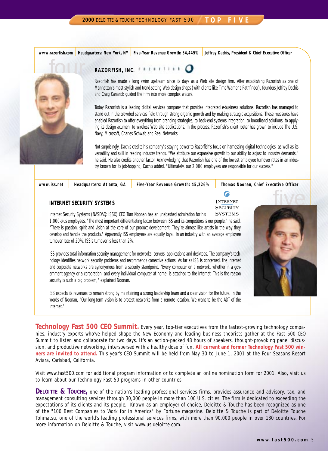**www.razorfish.com Headquarters: New York, NY Five-Year Revenue Growth: 54,445% Jeffrey Dachis, President & Chief Executive Officer**



#### RAZORFISH, INC. **FOUR FISH FILM**

Razorfish has made a long swim upstream since its days as a Web site design firm. After establishing Razorfish as one of Manhattan's most stylish and trend-setting Web design shops (with clients like Time-Warner's Pathfinder), founders Jeffrey Dachis and Craig Kanarick guided the firm into more complex waters.

Today Razorfish is a leading digital services company that provides integrated e-business solutions. Razorfish has managed to stand out in the crowded services field through strong organic growth and by making strategic acquisitions. These measures have enabled Razorfish to offer everything from branding strategies, to back-end systems integration, to broadband solutions, to applying its design acumen, to wireless Web site applications. In the process, Razorfish's client roster has grown to include The U.S. Navy, Microsoft, Charles Schwab and Real Networks.

Not surprisingly, Dachis credits his company's staying power to Razorfish's focus on harnessing digital technologies, as well as its versatility and skill in reading industry trends. "We attribute our expansive growth to our ability to adjust to industry demands," he said. He also credits another factor. Acknowledging that Razorfish has one of the lowest employee turnover rates in an industry known for its job-hopping, Dachis added, "Ultimately, our 2,000 employees are responsible for our success."

**www.iss.net Headquarters: Atlanta, GA Five-Year Revenue Growth: 45,226% Thomas Noonan, Chief Executive Officer**

#### **INTERNET SECURITY SYSTEMS**

6

**INTERNET SECURITY SYSTEMS** 

Internet Security Systems (NASDAQ: ISSX) CEO Tom Noonan has an unabashed admiration for his 1,000-plus employees. "The most important differentiating factor between ISS and its competitors is our people," he said. "There is passion, spirit and vision at the core of our product development. They're almost like artists in the way they develop and handle the products." Apparently ISS employees are equally loyal. In an industry with an average employee turnover rate of 20%, ISS's turnover is less than 2%.

ISS provides total information security management for networks, servers, applications and desktops. The company's technology identifies network security problems and recommends corrective actions. As far as ISS is concerned, the Internet and corporate networks are synonymous from a security standpoint. "Every computer on a network, whether in a government agency or a corporation, and every individual computer at home, is attached to the Internet. This is the reason security is such a big problem," explained Noonan.

ISS expects its revenues to remain strong by maintaining a strong leadership team and a clear vision for the future. In the words of Noonan, "Our long-term vision is to protect networks from a remote location. We want to be the ADT of the Internet."

**Technology Fast 500 CEO Summit.** Every year, top-tier executives from the fastest-growing technology companies, industry experts who've helped shape the New Economy and leading business theorists gather at the Fast 500 CEO Summit to listen and collaborate for two days. It's an action-packed 48 hours of speakers, thought-provoking panel discussion, and productive networking, interspersed with a healthy dose of fun. **All current and former Technology Fast 500 winners are invited to attend.** This year's CEO Summit will be held from May 30 to June 1, 2001 at the Four Seasons Resort Aviara, Carlsbad, California.

Visit www.fast500.com for additional program information or to complete an online nomination form for 2001. Also, visit us to learn about our Technology Fast 50 programs in other countries.

**DELOITTE & TOUCHE,** one of the nation's leading professional services firms, provides assurance and advisory, tax, and management consulting services through 30,000 people in more than 100 U.S. cities. The firm is dedicated to exceeding the expectations of its clients and its people. Known as an employer of choice, Deloitte & Touche has been recognized as one of the "100 Best Companies to Work for in America" by Fortune magazine. Deloitte & Touche is part of Deloitte Touche Tohmatsu, one of the world's leading professional services firms, with more than 90,000 people in over 130 countries. For more information on Deloitte & Touche, visit www.us.deloitte.com.

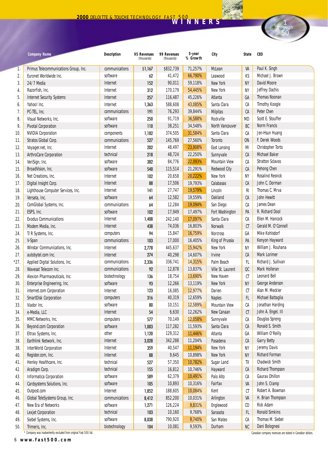| Paul K. Singh<br>71,257%<br>Primus Telecommunications Group, Inc.<br>communications<br>\$1,167<br>\$832,739<br>McLean<br>VA<br>1.<br>Euronet Worldwide Inc.<br>66,790%<br>Michael J. Brown<br>2.<br>software<br>41,472<br>Leawood<br>KS<br>62<br>90,011<br>New York<br>David Moore<br>3.<br>24/7 Media<br>Internet<br>152<br>59,118%<br><b>NY</b><br>New York<br>Jeffrey Dachis<br>Razorfish, Inc.<br>Internet<br>312<br>170,179<br>54,445%<br>NY<br>4.<br>Internet<br><b>Thomas Noonan</b><br>5.<br><b>Internet Security Systems</b><br>257<br>116,487<br>45,226%<br>Atlanta<br>GA<br>Internet<br>43,085%<br>Santa Clara<br><b>Timothy Koogle</b><br>Yahoo! Inc.<br>1,363<br>588,608<br>СA<br>6.<br>communications<br>Peter Chen<br>7.<br>PC-TEL, Inc.<br>191<br>76,293<br>39,844%<br><b>Milpitas</b><br>CA<br>Scott E. Stouffer<br>software<br>91,719<br>36,588%<br>8.<br>Visual Networks, Inc.<br>250<br>Rockville<br><b>MD</b><br>software<br>38,251<br>North Vancouver<br><b>Norm Francis</b><br>9.<br><b>Pivotal Corporation</b><br>110<br>34,548%<br>BC<br>374,505<br>31,584%<br>Santa Clara<br>Jen-Hsun Huang<br><b>NVIDIA Corporation</b><br>components<br>1,182<br>СA<br>10.<br>27,560%<br>F. Derek Woods<br>Stratos Global Corp.<br>communications<br>527<br>145,769<br>Toronto<br><b>ON</b><br>11.<br>Internet<br>23,908%<br>Christopher Torto<br>12.<br>Voyager.net, Inc.<br>202<br>48,497<br><b>East Lansing</b><br>MI<br>technical<br>22,250%<br>Michael Baker<br>ArthroCare Corporation<br>218<br>48,724<br>Sunnyvale<br>13.<br>СA<br><b>Stratton Sclavos</b><br>software<br>84,776<br>22,093%<br>VeriSign, Inc.<br>382<br><b>Mountain View</b><br>СA<br>14.<br>software<br>21,291%<br>Pehong Chen<br>BroadVision, Inc.<br>540<br>115,514<br><b>Redwood City</b><br>15.<br>СA<br>Internet<br>20,222%<br>New York<br><b>Rosalind Resnick</b><br>Net Creations, Inc.<br>102<br>20,658<br><b>NY</b><br>16.<br>Internet<br>17,506<br>19,793%<br>Calabasas<br>John C. Dorman<br>Digital Insight Corp.<br>88<br>CA<br>17.<br>Thomas C. Mrva<br>Internet<br>19,579%<br>Lighthouse Computer Services, Inc.<br>141<br>27,747<br>Lincoln<br>RI<br>18.<br>software<br>12,582<br>19,559%<br><b>Oakland</b><br><b>John Hewitt</b><br>Versata, Inc.<br>64<br>CA<br>19.<br>ComGlobal Systems, Inc.<br>communications<br>12,284<br>19,094%<br>James Dean<br>20.<br>64<br>San Diego<br>СA<br>software<br>17,949<br>17,497%<br>R. Richard Dool<br>21.<br>ESPS, Inc.<br>102<br>Fort Washington<br>PA<br>Ellen M. Hancock<br><b>Exodus Communications</b><br>Internet<br>17,097%<br>Santa Clara<br>22.<br>1,408<br>242,140<br>CА<br>Internet<br>74,036<br>16,803%<br>Gerald M. O'Connell<br>23.<br>Modem Media, Inc.<br>438<br><b>Norwalk</b><br>CT<br>computers<br>15,847<br>16,759%<br>Mike Kohlsdorf<br>24.<br>T/R Systems, Inc.<br>94<br><b>Norcross</b><br>GA<br>King of Prussia<br>Kenyon Hayward<br>25.<br>communications<br>103<br>17,000<br>16,405%<br>V-Span<br>PA<br>Internet<br>15,942%<br>New York<br>William J. Rouhana<br>26.<br>Winstar Communications, Inc.<br>2,778<br>445,637<br><b>NY</b><br>274<br>40,298<br>14,607%<br><b>Mark Lorimer</b><br>27.<br>autobytel.com Inc.<br>Internet<br><b>Irvine</b><br>CA<br>communications<br>14,315%<br>Palm Beach<br>Richard J. Sullivan<br>27.<br>Applied Digital Solutions, Inc.<br>2,336<br>336,741<br>FL<br>Ville St. Laurent<br>Mark Holleran<br>Wavesat Telecom Inc.<br>communications<br>92<br>12,878<br>13,837%<br>QC<br>28.<br>biotechnology<br>New Haven<br><b>Leonard Bell</b><br>29.<br>Alexion Pharmaceuticals, Inc.<br>136<br>18,754<br>13,690%<br>CT<br>George Anderson<br>30.<br>Enterprise Engineering, Inc.<br>software<br>93<br>12,266<br>13,119%<br>New York<br><b>NY</b><br>Alan M. Meckler<br>Internet<br>12,977%<br>Darien<br>31.<br>internet.com Corporation<br>123<br>16,085<br>CT<br>computers<br>Michael Battaglia<br>32.<br><b>SmartDisk Corporation</b><br>316<br>40,319<br>12,659%<br><b>Naples</b><br>FL.<br>software<br>Jonathan Harding<br>33.<br>Viador Inc.<br>10,151<br>12,589%<br><b>Mountain View</b><br>СA<br>80<br>Internet<br>CT<br>John A. Engel, III<br>34.<br>e-Media, LLC<br>54<br>6,630<br>12,262%<br>New Canaan<br>35.<br>MMC Networks, Inc.<br>computers<br>577<br>70,149<br>12,058%<br>Sunnyvale<br>СA<br>Douglas Spreng<br>software<br>117,282<br>11,593%<br>Santa Clara<br>Ronald S. Smith<br>Beyond.com Corporation<br>1,003<br>СA<br>36.<br>William O'Reilly<br>Eltrax Systems, Inc.<br>other<br>1,120<br>129,312<br>11,446%<br>37.<br>Atlanta<br>GA<br>Internet<br>342,288<br>11,204%<br><b>Garry Betty</b><br>38.<br>Earthlink Network, Inc.<br>3,028<br>Pasadena<br>СA<br>Jeremy Davis<br><b>InterWorld Corporation</b><br>Internet<br>40,547<br>11,194%<br>New York<br>38.<br>359<br>NΥ<br>9,645<br>Internet<br>10,898%<br>New York<br><b>Richard Forman</b><br>40.<br>Register.com, Inc.<br>88<br>NΥ<br>technical<br>Chadwick Smith<br>Henley Healthcare, Inc.<br>57,350<br>10,782%<br>527<br>Sugar Land<br>TX<br>41.<br>technical<br>16,812<br>10,746%<br><b>Richard Thompson</b><br>Aradigm Corp.<br>155<br>Hayward<br>СA<br>42.<br>62,379<br><b>Gaurav Dhillon</b><br>Informatica Corporation<br>software<br>10,491%<br>Palo Alto<br>589<br>СA<br>43.<br>10,893<br>software<br>10,316%<br>Fairfax<br>VA<br>John S. Cramp<br>Cardsystems Solutions, Inc.<br>105<br>44.<br>Internet<br>Robert A. Bowman<br>188,605<br>10,084%<br>Kent<br>СT<br>Outpost.com<br>1,852<br>45.<br>Global TeleSystems Group, Inc.<br>communications<br>852,200<br>10,031%<br>VA<br>H. Brian Thompson<br>8,412<br>Arlington<br>46.<br><b>Rick Adam</b><br>New Era of Networks<br>software<br>126,224<br>9,831%<br>${\rm CO}$<br>1,271<br>Englewood<br>47.<br><b>Ronald Simkins</b><br>technical<br>10,160<br>9,768%<br>Sarasota<br>Lexjet Corporation<br>103<br>FL.<br>48.<br>software<br>790,920<br>Thomas M. Siebel<br>Siebel Systems, Inc.<br>9,740%<br>San Mateo<br>СA<br>49.<br>8,038 | <b>Company Name</b> | <b>Description</b> | 95 Revenues<br>(thousands) | 99 Revenues<br>(thousands) | 5-year<br>% Growth | City | State | <b>CEO</b> |
|---------------------------------------------------------------------------------------------------------------------------------------------------------------------------------------------------------------------------------------------------------------------------------------------------------------------------------------------------------------------------------------------------------------------------------------------------------------------------------------------------------------------------------------------------------------------------------------------------------------------------------------------------------------------------------------------------------------------------------------------------------------------------------------------------------------------------------------------------------------------------------------------------------------------------------------------------------------------------------------------------------------------------------------------------------------------------------------------------------------------------------------------------------------------------------------------------------------------------------------------------------------------------------------------------------------------------------------------------------------------------------------------------------------------------------------------------------------------------------------------------------------------------------------------------------------------------------------------------------------------------------------------------------------------------------------------------------------------------------------------------------------------------------------------------------------------------------------------------------------------------------------------------------------------------------------------------------------------------------------------------------------------------------------------------------------------------------------------------------------------------------------------------------------------------------------------------------------------------------------------------------------------------------------------------------------------------------------------------------------------------------------------------------------------------------------------------------------------------------------------------------------------------------------------------------------------------------------------------------------------------------------------------------------------------------------------------------------------------------------------------------------------------------------------------------------------------------------------------------------------------------------------------------------------------------------------------------------------------------------------------------------------------------------------------------------------------------------------------------------------------------------------------------------------------------------------------------------------------------------------------------------------------------------------------------------------------------------------------------------------------------------------------------------------------------------------------------------------------------------------------------------------------------------------------------------------------------------------------------------------------------------------------------------------------------------------------------------------------------------------------------------------------------------------------------------------------------------------------------------------------------------------------------------------------------------------------------------------------------------------------------------------------------------------------------------------------------------------------------------------------------------------------------------------------------------------------------------------------------------------------------------------------------------------------------------------------------------------------------------------------------------------------------------------------------------------------------------------------------------------------------------------------------------------------------------------------------------------------------------------------------------------------------------------------------------------------------------------------------------------------------------------------------------------------------------------------------------------------------------------------------------------------------------------------------------------------------------------------------------------------------------------------------------------------------------------------------------------------------------------------------------------------------------------------------------------------------------------------------------------------------------------------------------------------------------------------------------------------------------------------------------------------------------------------------------------------------------------------------------------------------------------------------------------------------------------------------------------------------------------------------------------------------------------------------------------------------------------------------------------------------------------------------------------------------------------------------------------------------------------------------------------------------------------------------------------------------------------------------------|---------------------|--------------------|----------------------------|----------------------------|--------------------|------|-------|------------|
|                                                                                                                                                                                                                                                                                                                                                                                                                                                                                                                                                                                                                                                                                                                                                                                                                                                                                                                                                                                                                                                                                                                                                                                                                                                                                                                                                                                                                                                                                                                                                                                                                                                                                                                                                                                                                                                                                                                                                                                                                                                                                                                                                                                                                                                                                                                                                                                                                                                                                                                                                                                                                                                                                                                                                                                                                                                                                                                                                                                                                                                                                                                                                                                                                                                                                                                                                                                                                                                                                                                                                                                                                                                                                                                                                                                                                                                                                                                                                                                                                                                                                                                                                                                                                                                                                                                                                                                                                                                                                                                                                                                                                                                                                                                                                                                                                                                                                                                                                                                                                                                                                                                                                                                                                                                                                                                                                                                                                                                                                                                                                                                                                                                                                                                                                                                                                                                                                                                                                                                       |                     |                    |                            |                            |                    |      |       |            |
|                                                                                                                                                                                                                                                                                                                                                                                                                                                                                                                                                                                                                                                                                                                                                                                                                                                                                                                                                                                                                                                                                                                                                                                                                                                                                                                                                                                                                                                                                                                                                                                                                                                                                                                                                                                                                                                                                                                                                                                                                                                                                                                                                                                                                                                                                                                                                                                                                                                                                                                                                                                                                                                                                                                                                                                                                                                                                                                                                                                                                                                                                                                                                                                                                                                                                                                                                                                                                                                                                                                                                                                                                                                                                                                                                                                                                                                                                                                                                                                                                                                                                                                                                                                                                                                                                                                                                                                                                                                                                                                                                                                                                                                                                                                                                                                                                                                                                                                                                                                                                                                                                                                                                                                                                                                                                                                                                                                                                                                                                                                                                                                                                                                                                                                                                                                                                                                                                                                                                                                       |                     |                    |                            |                            |                    |      |       |            |
|                                                                                                                                                                                                                                                                                                                                                                                                                                                                                                                                                                                                                                                                                                                                                                                                                                                                                                                                                                                                                                                                                                                                                                                                                                                                                                                                                                                                                                                                                                                                                                                                                                                                                                                                                                                                                                                                                                                                                                                                                                                                                                                                                                                                                                                                                                                                                                                                                                                                                                                                                                                                                                                                                                                                                                                                                                                                                                                                                                                                                                                                                                                                                                                                                                                                                                                                                                                                                                                                                                                                                                                                                                                                                                                                                                                                                                                                                                                                                                                                                                                                                                                                                                                                                                                                                                                                                                                                                                                                                                                                                                                                                                                                                                                                                                                                                                                                                                                                                                                                                                                                                                                                                                                                                                                                                                                                                                                                                                                                                                                                                                                                                                                                                                                                                                                                                                                                                                                                                                                       |                     |                    |                            |                            |                    |      |       |            |
|                                                                                                                                                                                                                                                                                                                                                                                                                                                                                                                                                                                                                                                                                                                                                                                                                                                                                                                                                                                                                                                                                                                                                                                                                                                                                                                                                                                                                                                                                                                                                                                                                                                                                                                                                                                                                                                                                                                                                                                                                                                                                                                                                                                                                                                                                                                                                                                                                                                                                                                                                                                                                                                                                                                                                                                                                                                                                                                                                                                                                                                                                                                                                                                                                                                                                                                                                                                                                                                                                                                                                                                                                                                                                                                                                                                                                                                                                                                                                                                                                                                                                                                                                                                                                                                                                                                                                                                                                                                                                                                                                                                                                                                                                                                                                                                                                                                                                                                                                                                                                                                                                                                                                                                                                                                                                                                                                                                                                                                                                                                                                                                                                                                                                                                                                                                                                                                                                                                                                                                       |                     |                    |                            |                            |                    |      |       |            |
|                                                                                                                                                                                                                                                                                                                                                                                                                                                                                                                                                                                                                                                                                                                                                                                                                                                                                                                                                                                                                                                                                                                                                                                                                                                                                                                                                                                                                                                                                                                                                                                                                                                                                                                                                                                                                                                                                                                                                                                                                                                                                                                                                                                                                                                                                                                                                                                                                                                                                                                                                                                                                                                                                                                                                                                                                                                                                                                                                                                                                                                                                                                                                                                                                                                                                                                                                                                                                                                                                                                                                                                                                                                                                                                                                                                                                                                                                                                                                                                                                                                                                                                                                                                                                                                                                                                                                                                                                                                                                                                                                                                                                                                                                                                                                                                                                                                                                                                                                                                                                                                                                                                                                                                                                                                                                                                                                                                                                                                                                                                                                                                                                                                                                                                                                                                                                                                                                                                                                                                       |                     |                    |                            |                            |                    |      |       |            |
|                                                                                                                                                                                                                                                                                                                                                                                                                                                                                                                                                                                                                                                                                                                                                                                                                                                                                                                                                                                                                                                                                                                                                                                                                                                                                                                                                                                                                                                                                                                                                                                                                                                                                                                                                                                                                                                                                                                                                                                                                                                                                                                                                                                                                                                                                                                                                                                                                                                                                                                                                                                                                                                                                                                                                                                                                                                                                                                                                                                                                                                                                                                                                                                                                                                                                                                                                                                                                                                                                                                                                                                                                                                                                                                                                                                                                                                                                                                                                                                                                                                                                                                                                                                                                                                                                                                                                                                                                                                                                                                                                                                                                                                                                                                                                                                                                                                                                                                                                                                                                                                                                                                                                                                                                                                                                                                                                                                                                                                                                                                                                                                                                                                                                                                                                                                                                                                                                                                                                                                       |                     |                    |                            |                            |                    |      |       |            |
|                                                                                                                                                                                                                                                                                                                                                                                                                                                                                                                                                                                                                                                                                                                                                                                                                                                                                                                                                                                                                                                                                                                                                                                                                                                                                                                                                                                                                                                                                                                                                                                                                                                                                                                                                                                                                                                                                                                                                                                                                                                                                                                                                                                                                                                                                                                                                                                                                                                                                                                                                                                                                                                                                                                                                                                                                                                                                                                                                                                                                                                                                                                                                                                                                                                                                                                                                                                                                                                                                                                                                                                                                                                                                                                                                                                                                                                                                                                                                                                                                                                                                                                                                                                                                                                                                                                                                                                                                                                                                                                                                                                                                                                                                                                                                                                                                                                                                                                                                                                                                                                                                                                                                                                                                                                                                                                                                                                                                                                                                                                                                                                                                                                                                                                                                                                                                                                                                                                                                                                       |                     |                    |                            |                            |                    |      |       |            |
|                                                                                                                                                                                                                                                                                                                                                                                                                                                                                                                                                                                                                                                                                                                                                                                                                                                                                                                                                                                                                                                                                                                                                                                                                                                                                                                                                                                                                                                                                                                                                                                                                                                                                                                                                                                                                                                                                                                                                                                                                                                                                                                                                                                                                                                                                                                                                                                                                                                                                                                                                                                                                                                                                                                                                                                                                                                                                                                                                                                                                                                                                                                                                                                                                                                                                                                                                                                                                                                                                                                                                                                                                                                                                                                                                                                                                                                                                                                                                                                                                                                                                                                                                                                                                                                                                                                                                                                                                                                                                                                                                                                                                                                                                                                                                                                                                                                                                                                                                                                                                                                                                                                                                                                                                                                                                                                                                                                                                                                                                                                                                                                                                                                                                                                                                                                                                                                                                                                                                                                       |                     |                    |                            |                            |                    |      |       |            |
|                                                                                                                                                                                                                                                                                                                                                                                                                                                                                                                                                                                                                                                                                                                                                                                                                                                                                                                                                                                                                                                                                                                                                                                                                                                                                                                                                                                                                                                                                                                                                                                                                                                                                                                                                                                                                                                                                                                                                                                                                                                                                                                                                                                                                                                                                                                                                                                                                                                                                                                                                                                                                                                                                                                                                                                                                                                                                                                                                                                                                                                                                                                                                                                                                                                                                                                                                                                                                                                                                                                                                                                                                                                                                                                                                                                                                                                                                                                                                                                                                                                                                                                                                                                                                                                                                                                                                                                                                                                                                                                                                                                                                                                                                                                                                                                                                                                                                                                                                                                                                                                                                                                                                                                                                                                                                                                                                                                                                                                                                                                                                                                                                                                                                                                                                                                                                                                                                                                                                                                       |                     |                    |                            |                            |                    |      |       |            |
|                                                                                                                                                                                                                                                                                                                                                                                                                                                                                                                                                                                                                                                                                                                                                                                                                                                                                                                                                                                                                                                                                                                                                                                                                                                                                                                                                                                                                                                                                                                                                                                                                                                                                                                                                                                                                                                                                                                                                                                                                                                                                                                                                                                                                                                                                                                                                                                                                                                                                                                                                                                                                                                                                                                                                                                                                                                                                                                                                                                                                                                                                                                                                                                                                                                                                                                                                                                                                                                                                                                                                                                                                                                                                                                                                                                                                                                                                                                                                                                                                                                                                                                                                                                                                                                                                                                                                                                                                                                                                                                                                                                                                                                                                                                                                                                                                                                                                                                                                                                                                                                                                                                                                                                                                                                                                                                                                                                                                                                                                                                                                                                                                                                                                                                                                                                                                                                                                                                                                                                       |                     |                    |                            |                            |                    |      |       |            |
|                                                                                                                                                                                                                                                                                                                                                                                                                                                                                                                                                                                                                                                                                                                                                                                                                                                                                                                                                                                                                                                                                                                                                                                                                                                                                                                                                                                                                                                                                                                                                                                                                                                                                                                                                                                                                                                                                                                                                                                                                                                                                                                                                                                                                                                                                                                                                                                                                                                                                                                                                                                                                                                                                                                                                                                                                                                                                                                                                                                                                                                                                                                                                                                                                                                                                                                                                                                                                                                                                                                                                                                                                                                                                                                                                                                                                                                                                                                                                                                                                                                                                                                                                                                                                                                                                                                                                                                                                                                                                                                                                                                                                                                                                                                                                                                                                                                                                                                                                                                                                                                                                                                                                                                                                                                                                                                                                                                                                                                                                                                                                                                                                                                                                                                                                                                                                                                                                                                                                                                       |                     |                    |                            |                            |                    |      |       |            |
|                                                                                                                                                                                                                                                                                                                                                                                                                                                                                                                                                                                                                                                                                                                                                                                                                                                                                                                                                                                                                                                                                                                                                                                                                                                                                                                                                                                                                                                                                                                                                                                                                                                                                                                                                                                                                                                                                                                                                                                                                                                                                                                                                                                                                                                                                                                                                                                                                                                                                                                                                                                                                                                                                                                                                                                                                                                                                                                                                                                                                                                                                                                                                                                                                                                                                                                                                                                                                                                                                                                                                                                                                                                                                                                                                                                                                                                                                                                                                                                                                                                                                                                                                                                                                                                                                                                                                                                                                                                                                                                                                                                                                                                                                                                                                                                                                                                                                                                                                                                                                                                                                                                                                                                                                                                                                                                                                                                                                                                                                                                                                                                                                                                                                                                                                                                                                                                                                                                                                                                       |                     |                    |                            |                            |                    |      |       |            |
|                                                                                                                                                                                                                                                                                                                                                                                                                                                                                                                                                                                                                                                                                                                                                                                                                                                                                                                                                                                                                                                                                                                                                                                                                                                                                                                                                                                                                                                                                                                                                                                                                                                                                                                                                                                                                                                                                                                                                                                                                                                                                                                                                                                                                                                                                                                                                                                                                                                                                                                                                                                                                                                                                                                                                                                                                                                                                                                                                                                                                                                                                                                                                                                                                                                                                                                                                                                                                                                                                                                                                                                                                                                                                                                                                                                                                                                                                                                                                                                                                                                                                                                                                                                                                                                                                                                                                                                                                                                                                                                                                                                                                                                                                                                                                                                                                                                                                                                                                                                                                                                                                                                                                                                                                                                                                                                                                                                                                                                                                                                                                                                                                                                                                                                                                                                                                                                                                                                                                                                       |                     |                    |                            |                            |                    |      |       |            |
|                                                                                                                                                                                                                                                                                                                                                                                                                                                                                                                                                                                                                                                                                                                                                                                                                                                                                                                                                                                                                                                                                                                                                                                                                                                                                                                                                                                                                                                                                                                                                                                                                                                                                                                                                                                                                                                                                                                                                                                                                                                                                                                                                                                                                                                                                                                                                                                                                                                                                                                                                                                                                                                                                                                                                                                                                                                                                                                                                                                                                                                                                                                                                                                                                                                                                                                                                                                                                                                                                                                                                                                                                                                                                                                                                                                                                                                                                                                                                                                                                                                                                                                                                                                                                                                                                                                                                                                                                                                                                                                                                                                                                                                                                                                                                                                                                                                                                                                                                                                                                                                                                                                                                                                                                                                                                                                                                                                                                                                                                                                                                                                                                                                                                                                                                                                                                                                                                                                                                                                       |                     |                    |                            |                            |                    |      |       |            |
|                                                                                                                                                                                                                                                                                                                                                                                                                                                                                                                                                                                                                                                                                                                                                                                                                                                                                                                                                                                                                                                                                                                                                                                                                                                                                                                                                                                                                                                                                                                                                                                                                                                                                                                                                                                                                                                                                                                                                                                                                                                                                                                                                                                                                                                                                                                                                                                                                                                                                                                                                                                                                                                                                                                                                                                                                                                                                                                                                                                                                                                                                                                                                                                                                                                                                                                                                                                                                                                                                                                                                                                                                                                                                                                                                                                                                                                                                                                                                                                                                                                                                                                                                                                                                                                                                                                                                                                                                                                                                                                                                                                                                                                                                                                                                                                                                                                                                                                                                                                                                                                                                                                                                                                                                                                                                                                                                                                                                                                                                                                                                                                                                                                                                                                                                                                                                                                                                                                                                                                       |                     |                    |                            |                            |                    |      |       |            |
|                                                                                                                                                                                                                                                                                                                                                                                                                                                                                                                                                                                                                                                                                                                                                                                                                                                                                                                                                                                                                                                                                                                                                                                                                                                                                                                                                                                                                                                                                                                                                                                                                                                                                                                                                                                                                                                                                                                                                                                                                                                                                                                                                                                                                                                                                                                                                                                                                                                                                                                                                                                                                                                                                                                                                                                                                                                                                                                                                                                                                                                                                                                                                                                                                                                                                                                                                                                                                                                                                                                                                                                                                                                                                                                                                                                                                                                                                                                                                                                                                                                                                                                                                                                                                                                                                                                                                                                                                                                                                                                                                                                                                                                                                                                                                                                                                                                                                                                                                                                                                                                                                                                                                                                                                                                                                                                                                                                                                                                                                                                                                                                                                                                                                                                                                                                                                                                                                                                                                                                       |                     |                    |                            |                            |                    |      |       |            |
|                                                                                                                                                                                                                                                                                                                                                                                                                                                                                                                                                                                                                                                                                                                                                                                                                                                                                                                                                                                                                                                                                                                                                                                                                                                                                                                                                                                                                                                                                                                                                                                                                                                                                                                                                                                                                                                                                                                                                                                                                                                                                                                                                                                                                                                                                                                                                                                                                                                                                                                                                                                                                                                                                                                                                                                                                                                                                                                                                                                                                                                                                                                                                                                                                                                                                                                                                                                                                                                                                                                                                                                                                                                                                                                                                                                                                                                                                                                                                                                                                                                                                                                                                                                                                                                                                                                                                                                                                                                                                                                                                                                                                                                                                                                                                                                                                                                                                                                                                                                                                                                                                                                                                                                                                                                                                                                                                                                                                                                                                                                                                                                                                                                                                                                                                                                                                                                                                                                                                                                       |                     |                    |                            |                            |                    |      |       |            |
|                                                                                                                                                                                                                                                                                                                                                                                                                                                                                                                                                                                                                                                                                                                                                                                                                                                                                                                                                                                                                                                                                                                                                                                                                                                                                                                                                                                                                                                                                                                                                                                                                                                                                                                                                                                                                                                                                                                                                                                                                                                                                                                                                                                                                                                                                                                                                                                                                                                                                                                                                                                                                                                                                                                                                                                                                                                                                                                                                                                                                                                                                                                                                                                                                                                                                                                                                                                                                                                                                                                                                                                                                                                                                                                                                                                                                                                                                                                                                                                                                                                                                                                                                                                                                                                                                                                                                                                                                                                                                                                                                                                                                                                                                                                                                                                                                                                                                                                                                                                                                                                                                                                                                                                                                                                                                                                                                                                                                                                                                                                                                                                                                                                                                                                                                                                                                                                                                                                                                                                       |                     |                    |                            |                            |                    |      |       |            |
|                                                                                                                                                                                                                                                                                                                                                                                                                                                                                                                                                                                                                                                                                                                                                                                                                                                                                                                                                                                                                                                                                                                                                                                                                                                                                                                                                                                                                                                                                                                                                                                                                                                                                                                                                                                                                                                                                                                                                                                                                                                                                                                                                                                                                                                                                                                                                                                                                                                                                                                                                                                                                                                                                                                                                                                                                                                                                                                                                                                                                                                                                                                                                                                                                                                                                                                                                                                                                                                                                                                                                                                                                                                                                                                                                                                                                                                                                                                                                                                                                                                                                                                                                                                                                                                                                                                                                                                                                                                                                                                                                                                                                                                                                                                                                                                                                                                                                                                                                                                                                                                                                                                                                                                                                                                                                                                                                                                                                                                                                                                                                                                                                                                                                                                                                                                                                                                                                                                                                                                       |                     |                    |                            |                            |                    |      |       |            |
|                                                                                                                                                                                                                                                                                                                                                                                                                                                                                                                                                                                                                                                                                                                                                                                                                                                                                                                                                                                                                                                                                                                                                                                                                                                                                                                                                                                                                                                                                                                                                                                                                                                                                                                                                                                                                                                                                                                                                                                                                                                                                                                                                                                                                                                                                                                                                                                                                                                                                                                                                                                                                                                                                                                                                                                                                                                                                                                                                                                                                                                                                                                                                                                                                                                                                                                                                                                                                                                                                                                                                                                                                                                                                                                                                                                                                                                                                                                                                                                                                                                                                                                                                                                                                                                                                                                                                                                                                                                                                                                                                                                                                                                                                                                                                                                                                                                                                                                                                                                                                                                                                                                                                                                                                                                                                                                                                                                                                                                                                                                                                                                                                                                                                                                                                                                                                                                                                                                                                                                       |                     |                    |                            |                            |                    |      |       |            |
|                                                                                                                                                                                                                                                                                                                                                                                                                                                                                                                                                                                                                                                                                                                                                                                                                                                                                                                                                                                                                                                                                                                                                                                                                                                                                                                                                                                                                                                                                                                                                                                                                                                                                                                                                                                                                                                                                                                                                                                                                                                                                                                                                                                                                                                                                                                                                                                                                                                                                                                                                                                                                                                                                                                                                                                                                                                                                                                                                                                                                                                                                                                                                                                                                                                                                                                                                                                                                                                                                                                                                                                                                                                                                                                                                                                                                                                                                                                                                                                                                                                                                                                                                                                                                                                                                                                                                                                                                                                                                                                                                                                                                                                                                                                                                                                                                                                                                                                                                                                                                                                                                                                                                                                                                                                                                                                                                                                                                                                                                                                                                                                                                                                                                                                                                                                                                                                                                                                                                                                       |                     |                    |                            |                            |                    |      |       |            |
|                                                                                                                                                                                                                                                                                                                                                                                                                                                                                                                                                                                                                                                                                                                                                                                                                                                                                                                                                                                                                                                                                                                                                                                                                                                                                                                                                                                                                                                                                                                                                                                                                                                                                                                                                                                                                                                                                                                                                                                                                                                                                                                                                                                                                                                                                                                                                                                                                                                                                                                                                                                                                                                                                                                                                                                                                                                                                                                                                                                                                                                                                                                                                                                                                                                                                                                                                                                                                                                                                                                                                                                                                                                                                                                                                                                                                                                                                                                                                                                                                                                                                                                                                                                                                                                                                                                                                                                                                                                                                                                                                                                                                                                                                                                                                                                                                                                                                                                                                                                                                                                                                                                                                                                                                                                                                                                                                                                                                                                                                                                                                                                                                                                                                                                                                                                                                                                                                                                                                                                       |                     |                    |                            |                            |                    |      |       |            |
|                                                                                                                                                                                                                                                                                                                                                                                                                                                                                                                                                                                                                                                                                                                                                                                                                                                                                                                                                                                                                                                                                                                                                                                                                                                                                                                                                                                                                                                                                                                                                                                                                                                                                                                                                                                                                                                                                                                                                                                                                                                                                                                                                                                                                                                                                                                                                                                                                                                                                                                                                                                                                                                                                                                                                                                                                                                                                                                                                                                                                                                                                                                                                                                                                                                                                                                                                                                                                                                                                                                                                                                                                                                                                                                                                                                                                                                                                                                                                                                                                                                                                                                                                                                                                                                                                                                                                                                                                                                                                                                                                                                                                                                                                                                                                                                                                                                                                                                                                                                                                                                                                                                                                                                                                                                                                                                                                                                                                                                                                                                                                                                                                                                                                                                                                                                                                                                                                                                                                                                       |                     |                    |                            |                            |                    |      |       |            |
|                                                                                                                                                                                                                                                                                                                                                                                                                                                                                                                                                                                                                                                                                                                                                                                                                                                                                                                                                                                                                                                                                                                                                                                                                                                                                                                                                                                                                                                                                                                                                                                                                                                                                                                                                                                                                                                                                                                                                                                                                                                                                                                                                                                                                                                                                                                                                                                                                                                                                                                                                                                                                                                                                                                                                                                                                                                                                                                                                                                                                                                                                                                                                                                                                                                                                                                                                                                                                                                                                                                                                                                                                                                                                                                                                                                                                                                                                                                                                                                                                                                                                                                                                                                                                                                                                                                                                                                                                                                                                                                                                                                                                                                                                                                                                                                                                                                                                                                                                                                                                                                                                                                                                                                                                                                                                                                                                                                                                                                                                                                                                                                                                                                                                                                                                                                                                                                                                                                                                                                       |                     |                    |                            |                            |                    |      |       |            |
|                                                                                                                                                                                                                                                                                                                                                                                                                                                                                                                                                                                                                                                                                                                                                                                                                                                                                                                                                                                                                                                                                                                                                                                                                                                                                                                                                                                                                                                                                                                                                                                                                                                                                                                                                                                                                                                                                                                                                                                                                                                                                                                                                                                                                                                                                                                                                                                                                                                                                                                                                                                                                                                                                                                                                                                                                                                                                                                                                                                                                                                                                                                                                                                                                                                                                                                                                                                                                                                                                                                                                                                                                                                                                                                                                                                                                                                                                                                                                                                                                                                                                                                                                                                                                                                                                                                                                                                                                                                                                                                                                                                                                                                                                                                                                                                                                                                                                                                                                                                                                                                                                                                                                                                                                                                                                                                                                                                                                                                                                                                                                                                                                                                                                                                                                                                                                                                                                                                                                                                       |                     |                    |                            |                            |                    |      |       |            |
|                                                                                                                                                                                                                                                                                                                                                                                                                                                                                                                                                                                                                                                                                                                                                                                                                                                                                                                                                                                                                                                                                                                                                                                                                                                                                                                                                                                                                                                                                                                                                                                                                                                                                                                                                                                                                                                                                                                                                                                                                                                                                                                                                                                                                                                                                                                                                                                                                                                                                                                                                                                                                                                                                                                                                                                                                                                                                                                                                                                                                                                                                                                                                                                                                                                                                                                                                                                                                                                                                                                                                                                                                                                                                                                                                                                                                                                                                                                                                                                                                                                                                                                                                                                                                                                                                                                                                                                                                                                                                                                                                                                                                                                                                                                                                                                                                                                                                                                                                                                                                                                                                                                                                                                                                                                                                                                                                                                                                                                                                                                                                                                                                                                                                                                                                                                                                                                                                                                                                                                       |                     |                    |                            |                            |                    |      |       |            |
|                                                                                                                                                                                                                                                                                                                                                                                                                                                                                                                                                                                                                                                                                                                                                                                                                                                                                                                                                                                                                                                                                                                                                                                                                                                                                                                                                                                                                                                                                                                                                                                                                                                                                                                                                                                                                                                                                                                                                                                                                                                                                                                                                                                                                                                                                                                                                                                                                                                                                                                                                                                                                                                                                                                                                                                                                                                                                                                                                                                                                                                                                                                                                                                                                                                                                                                                                                                                                                                                                                                                                                                                                                                                                                                                                                                                                                                                                                                                                                                                                                                                                                                                                                                                                                                                                                                                                                                                                                                                                                                                                                                                                                                                                                                                                                                                                                                                                                                                                                                                                                                                                                                                                                                                                                                                                                                                                                                                                                                                                                                                                                                                                                                                                                                                                                                                                                                                                                                                                                                       |                     |                    |                            |                            |                    |      |       |            |
|                                                                                                                                                                                                                                                                                                                                                                                                                                                                                                                                                                                                                                                                                                                                                                                                                                                                                                                                                                                                                                                                                                                                                                                                                                                                                                                                                                                                                                                                                                                                                                                                                                                                                                                                                                                                                                                                                                                                                                                                                                                                                                                                                                                                                                                                                                                                                                                                                                                                                                                                                                                                                                                                                                                                                                                                                                                                                                                                                                                                                                                                                                                                                                                                                                                                                                                                                                                                                                                                                                                                                                                                                                                                                                                                                                                                                                                                                                                                                                                                                                                                                                                                                                                                                                                                                                                                                                                                                                                                                                                                                                                                                                                                                                                                                                                                                                                                                                                                                                                                                                                                                                                                                                                                                                                                                                                                                                                                                                                                                                                                                                                                                                                                                                                                                                                                                                                                                                                                                                                       |                     |                    |                            |                            |                    |      |       |            |
|                                                                                                                                                                                                                                                                                                                                                                                                                                                                                                                                                                                                                                                                                                                                                                                                                                                                                                                                                                                                                                                                                                                                                                                                                                                                                                                                                                                                                                                                                                                                                                                                                                                                                                                                                                                                                                                                                                                                                                                                                                                                                                                                                                                                                                                                                                                                                                                                                                                                                                                                                                                                                                                                                                                                                                                                                                                                                                                                                                                                                                                                                                                                                                                                                                                                                                                                                                                                                                                                                                                                                                                                                                                                                                                                                                                                                                                                                                                                                                                                                                                                                                                                                                                                                                                                                                                                                                                                                                                                                                                                                                                                                                                                                                                                                                                                                                                                                                                                                                                                                                                                                                                                                                                                                                                                                                                                                                                                                                                                                                                                                                                                                                                                                                                                                                                                                                                                                                                                                                                       |                     |                    |                            |                            |                    |      |       |            |
|                                                                                                                                                                                                                                                                                                                                                                                                                                                                                                                                                                                                                                                                                                                                                                                                                                                                                                                                                                                                                                                                                                                                                                                                                                                                                                                                                                                                                                                                                                                                                                                                                                                                                                                                                                                                                                                                                                                                                                                                                                                                                                                                                                                                                                                                                                                                                                                                                                                                                                                                                                                                                                                                                                                                                                                                                                                                                                                                                                                                                                                                                                                                                                                                                                                                                                                                                                                                                                                                                                                                                                                                                                                                                                                                                                                                                                                                                                                                                                                                                                                                                                                                                                                                                                                                                                                                                                                                                                                                                                                                                                                                                                                                                                                                                                                                                                                                                                                                                                                                                                                                                                                                                                                                                                                                                                                                                                                                                                                                                                                                                                                                                                                                                                                                                                                                                                                                                                                                                                                       |                     |                    |                            |                            |                    |      |       |            |
|                                                                                                                                                                                                                                                                                                                                                                                                                                                                                                                                                                                                                                                                                                                                                                                                                                                                                                                                                                                                                                                                                                                                                                                                                                                                                                                                                                                                                                                                                                                                                                                                                                                                                                                                                                                                                                                                                                                                                                                                                                                                                                                                                                                                                                                                                                                                                                                                                                                                                                                                                                                                                                                                                                                                                                                                                                                                                                                                                                                                                                                                                                                                                                                                                                                                                                                                                                                                                                                                                                                                                                                                                                                                                                                                                                                                                                                                                                                                                                                                                                                                                                                                                                                                                                                                                                                                                                                                                                                                                                                                                                                                                                                                                                                                                                                                                                                                                                                                                                                                                                                                                                                                                                                                                                                                                                                                                                                                                                                                                                                                                                                                                                                                                                                                                                                                                                                                                                                                                                                       |                     |                    |                            |                            |                    |      |       |            |
|                                                                                                                                                                                                                                                                                                                                                                                                                                                                                                                                                                                                                                                                                                                                                                                                                                                                                                                                                                                                                                                                                                                                                                                                                                                                                                                                                                                                                                                                                                                                                                                                                                                                                                                                                                                                                                                                                                                                                                                                                                                                                                                                                                                                                                                                                                                                                                                                                                                                                                                                                                                                                                                                                                                                                                                                                                                                                                                                                                                                                                                                                                                                                                                                                                                                                                                                                                                                                                                                                                                                                                                                                                                                                                                                                                                                                                                                                                                                                                                                                                                                                                                                                                                                                                                                                                                                                                                                                                                                                                                                                                                                                                                                                                                                                                                                                                                                                                                                                                                                                                                                                                                                                                                                                                                                                                                                                                                                                                                                                                                                                                                                                                                                                                                                                                                                                                                                                                                                                                                       |                     |                    |                            |                            |                    |      |       |            |
|                                                                                                                                                                                                                                                                                                                                                                                                                                                                                                                                                                                                                                                                                                                                                                                                                                                                                                                                                                                                                                                                                                                                                                                                                                                                                                                                                                                                                                                                                                                                                                                                                                                                                                                                                                                                                                                                                                                                                                                                                                                                                                                                                                                                                                                                                                                                                                                                                                                                                                                                                                                                                                                                                                                                                                                                                                                                                                                                                                                                                                                                                                                                                                                                                                                                                                                                                                                                                                                                                                                                                                                                                                                                                                                                                                                                                                                                                                                                                                                                                                                                                                                                                                                                                                                                                                                                                                                                                                                                                                                                                                                                                                                                                                                                                                                                                                                                                                                                                                                                                                                                                                                                                                                                                                                                                                                                                                                                                                                                                                                                                                                                                                                                                                                                                                                                                                                                                                                                                                                       |                     |                    |                            |                            |                    |      |       |            |
|                                                                                                                                                                                                                                                                                                                                                                                                                                                                                                                                                                                                                                                                                                                                                                                                                                                                                                                                                                                                                                                                                                                                                                                                                                                                                                                                                                                                                                                                                                                                                                                                                                                                                                                                                                                                                                                                                                                                                                                                                                                                                                                                                                                                                                                                                                                                                                                                                                                                                                                                                                                                                                                                                                                                                                                                                                                                                                                                                                                                                                                                                                                                                                                                                                                                                                                                                                                                                                                                                                                                                                                                                                                                                                                                                                                                                                                                                                                                                                                                                                                                                                                                                                                                                                                                                                                                                                                                                                                                                                                                                                                                                                                                                                                                                                                                                                                                                                                                                                                                                                                                                                                                                                                                                                                                                                                                                                                                                                                                                                                                                                                                                                                                                                                                                                                                                                                                                                                                                                                       |                     |                    |                            |                            |                    |      |       |            |
|                                                                                                                                                                                                                                                                                                                                                                                                                                                                                                                                                                                                                                                                                                                                                                                                                                                                                                                                                                                                                                                                                                                                                                                                                                                                                                                                                                                                                                                                                                                                                                                                                                                                                                                                                                                                                                                                                                                                                                                                                                                                                                                                                                                                                                                                                                                                                                                                                                                                                                                                                                                                                                                                                                                                                                                                                                                                                                                                                                                                                                                                                                                                                                                                                                                                                                                                                                                                                                                                                                                                                                                                                                                                                                                                                                                                                                                                                                                                                                                                                                                                                                                                                                                                                                                                                                                                                                                                                                                                                                                                                                                                                                                                                                                                                                                                                                                                                                                                                                                                                                                                                                                                                                                                                                                                                                                                                                                                                                                                                                                                                                                                                                                                                                                                                                                                                                                                                                                                                                                       |                     |                    |                            |                            |                    |      |       |            |
|                                                                                                                                                                                                                                                                                                                                                                                                                                                                                                                                                                                                                                                                                                                                                                                                                                                                                                                                                                                                                                                                                                                                                                                                                                                                                                                                                                                                                                                                                                                                                                                                                                                                                                                                                                                                                                                                                                                                                                                                                                                                                                                                                                                                                                                                                                                                                                                                                                                                                                                                                                                                                                                                                                                                                                                                                                                                                                                                                                                                                                                                                                                                                                                                                                                                                                                                                                                                                                                                                                                                                                                                                                                                                                                                                                                                                                                                                                                                                                                                                                                                                                                                                                                                                                                                                                                                                                                                                                                                                                                                                                                                                                                                                                                                                                                                                                                                                                                                                                                                                                                                                                                                                                                                                                                                                                                                                                                                                                                                                                                                                                                                                                                                                                                                                                                                                                                                                                                                                                                       |                     |                    |                            |                            |                    |      |       |            |
|                                                                                                                                                                                                                                                                                                                                                                                                                                                                                                                                                                                                                                                                                                                                                                                                                                                                                                                                                                                                                                                                                                                                                                                                                                                                                                                                                                                                                                                                                                                                                                                                                                                                                                                                                                                                                                                                                                                                                                                                                                                                                                                                                                                                                                                                                                                                                                                                                                                                                                                                                                                                                                                                                                                                                                                                                                                                                                                                                                                                                                                                                                                                                                                                                                                                                                                                                                                                                                                                                                                                                                                                                                                                                                                                                                                                                                                                                                                                                                                                                                                                                                                                                                                                                                                                                                                                                                                                                                                                                                                                                                                                                                                                                                                                                                                                                                                                                                                                                                                                                                                                                                                                                                                                                                                                                                                                                                                                                                                                                                                                                                                                                                                                                                                                                                                                                                                                                                                                                                                       |                     |                    |                            |                            |                    |      |       |            |
|                                                                                                                                                                                                                                                                                                                                                                                                                                                                                                                                                                                                                                                                                                                                                                                                                                                                                                                                                                                                                                                                                                                                                                                                                                                                                                                                                                                                                                                                                                                                                                                                                                                                                                                                                                                                                                                                                                                                                                                                                                                                                                                                                                                                                                                                                                                                                                                                                                                                                                                                                                                                                                                                                                                                                                                                                                                                                                                                                                                                                                                                                                                                                                                                                                                                                                                                                                                                                                                                                                                                                                                                                                                                                                                                                                                                                                                                                                                                                                                                                                                                                                                                                                                                                                                                                                                                                                                                                                                                                                                                                                                                                                                                                                                                                                                                                                                                                                                                                                                                                                                                                                                                                                                                                                                                                                                                                                                                                                                                                                                                                                                                                                                                                                                                                                                                                                                                                                                                                                                       |                     |                    |                            |                            |                    |      |       |            |
|                                                                                                                                                                                                                                                                                                                                                                                                                                                                                                                                                                                                                                                                                                                                                                                                                                                                                                                                                                                                                                                                                                                                                                                                                                                                                                                                                                                                                                                                                                                                                                                                                                                                                                                                                                                                                                                                                                                                                                                                                                                                                                                                                                                                                                                                                                                                                                                                                                                                                                                                                                                                                                                                                                                                                                                                                                                                                                                                                                                                                                                                                                                                                                                                                                                                                                                                                                                                                                                                                                                                                                                                                                                                                                                                                                                                                                                                                                                                                                                                                                                                                                                                                                                                                                                                                                                                                                                                                                                                                                                                                                                                                                                                                                                                                                                                                                                                                                                                                                                                                                                                                                                                                                                                                                                                                                                                                                                                                                                                                                                                                                                                                                                                                                                                                                                                                                                                                                                                                                                       |                     |                    |                            |                            |                    |      |       |            |
|                                                                                                                                                                                                                                                                                                                                                                                                                                                                                                                                                                                                                                                                                                                                                                                                                                                                                                                                                                                                                                                                                                                                                                                                                                                                                                                                                                                                                                                                                                                                                                                                                                                                                                                                                                                                                                                                                                                                                                                                                                                                                                                                                                                                                                                                                                                                                                                                                                                                                                                                                                                                                                                                                                                                                                                                                                                                                                                                                                                                                                                                                                                                                                                                                                                                                                                                                                                                                                                                                                                                                                                                                                                                                                                                                                                                                                                                                                                                                                                                                                                                                                                                                                                                                                                                                                                                                                                                                                                                                                                                                                                                                                                                                                                                                                                                                                                                                                                                                                                                                                                                                                                                                                                                                                                                                                                                                                                                                                                                                                                                                                                                                                                                                                                                                                                                                                                                                                                                                                                       |                     |                    |                            |                            |                    |      |       |            |
|                                                                                                                                                                                                                                                                                                                                                                                                                                                                                                                                                                                                                                                                                                                                                                                                                                                                                                                                                                                                                                                                                                                                                                                                                                                                                                                                                                                                                                                                                                                                                                                                                                                                                                                                                                                                                                                                                                                                                                                                                                                                                                                                                                                                                                                                                                                                                                                                                                                                                                                                                                                                                                                                                                                                                                                                                                                                                                                                                                                                                                                                                                                                                                                                                                                                                                                                                                                                                                                                                                                                                                                                                                                                                                                                                                                                                                                                                                                                                                                                                                                                                                                                                                                                                                                                                                                                                                                                                                                                                                                                                                                                                                                                                                                                                                                                                                                                                                                                                                                                                                                                                                                                                                                                                                                                                                                                                                                                                                                                                                                                                                                                                                                                                                                                                                                                                                                                                                                                                                                       |                     |                    |                            |                            |                    |      |       |            |
|                                                                                                                                                                                                                                                                                                                                                                                                                                                                                                                                                                                                                                                                                                                                                                                                                                                                                                                                                                                                                                                                                                                                                                                                                                                                                                                                                                                                                                                                                                                                                                                                                                                                                                                                                                                                                                                                                                                                                                                                                                                                                                                                                                                                                                                                                                                                                                                                                                                                                                                                                                                                                                                                                                                                                                                                                                                                                                                                                                                                                                                                                                                                                                                                                                                                                                                                                                                                                                                                                                                                                                                                                                                                                                                                                                                                                                                                                                                                                                                                                                                                                                                                                                                                                                                                                                                                                                                                                                                                                                                                                                                                                                                                                                                                                                                                                                                                                                                                                                                                                                                                                                                                                                                                                                                                                                                                                                                                                                                                                                                                                                                                                                                                                                                                                                                                                                                                                                                                                                                       |                     |                    |                            |                            |                    |      |       |            |
|                                                                                                                                                                                                                                                                                                                                                                                                                                                                                                                                                                                                                                                                                                                                                                                                                                                                                                                                                                                                                                                                                                                                                                                                                                                                                                                                                                                                                                                                                                                                                                                                                                                                                                                                                                                                                                                                                                                                                                                                                                                                                                                                                                                                                                                                                                                                                                                                                                                                                                                                                                                                                                                                                                                                                                                                                                                                                                                                                                                                                                                                                                                                                                                                                                                                                                                                                                                                                                                                                                                                                                                                                                                                                                                                                                                                                                                                                                                                                                                                                                                                                                                                                                                                                                                                                                                                                                                                                                                                                                                                                                                                                                                                                                                                                                                                                                                                                                                                                                                                                                                                                                                                                                                                                                                                                                                                                                                                                                                                                                                                                                                                                                                                                                                                                                                                                                                                                                                                                                                       |                     |                    |                            |                            |                    |      |       |            |
|                                                                                                                                                                                                                                                                                                                                                                                                                                                                                                                                                                                                                                                                                                                                                                                                                                                                                                                                                                                                                                                                                                                                                                                                                                                                                                                                                                                                                                                                                                                                                                                                                                                                                                                                                                                                                                                                                                                                                                                                                                                                                                                                                                                                                                                                                                                                                                                                                                                                                                                                                                                                                                                                                                                                                                                                                                                                                                                                                                                                                                                                                                                                                                                                                                                                                                                                                                                                                                                                                                                                                                                                                                                                                                                                                                                                                                                                                                                                                                                                                                                                                                                                                                                                                                                                                                                                                                                                                                                                                                                                                                                                                                                                                                                                                                                                                                                                                                                                                                                                                                                                                                                                                                                                                                                                                                                                                                                                                                                                                                                                                                                                                                                                                                                                                                                                                                                                                                                                                                                       |                     |                    |                            |                            |                    |      |       |            |
|                                                                                                                                                                                                                                                                                                                                                                                                                                                                                                                                                                                                                                                                                                                                                                                                                                                                                                                                                                                                                                                                                                                                                                                                                                                                                                                                                                                                                                                                                                                                                                                                                                                                                                                                                                                                                                                                                                                                                                                                                                                                                                                                                                                                                                                                                                                                                                                                                                                                                                                                                                                                                                                                                                                                                                                                                                                                                                                                                                                                                                                                                                                                                                                                                                                                                                                                                                                                                                                                                                                                                                                                                                                                                                                                                                                                                                                                                                                                                                                                                                                                                                                                                                                                                                                                                                                                                                                                                                                                                                                                                                                                                                                                                                                                                                                                                                                                                                                                                                                                                                                                                                                                                                                                                                                                                                                                                                                                                                                                                                                                                                                                                                                                                                                                                                                                                                                                                                                                                                                       |                     |                    |                            |                            |                    |      |       |            |
|                                                                                                                                                                                                                                                                                                                                                                                                                                                                                                                                                                                                                                                                                                                                                                                                                                                                                                                                                                                                                                                                                                                                                                                                                                                                                                                                                                                                                                                                                                                                                                                                                                                                                                                                                                                                                                                                                                                                                                                                                                                                                                                                                                                                                                                                                                                                                                                                                                                                                                                                                                                                                                                                                                                                                                                                                                                                                                                                                                                                                                                                                                                                                                                                                                                                                                                                                                                                                                                                                                                                                                                                                                                                                                                                                                                                                                                                                                                                                                                                                                                                                                                                                                                                                                                                                                                                                                                                                                                                                                                                                                                                                                                                                                                                                                                                                                                                                                                                                                                                                                                                                                                                                                                                                                                                                                                                                                                                                                                                                                                                                                                                                                                                                                                                                                                                                                                                                                                                                                                       |                     |                    |                            |                            |                    |      |       |            |
|                                                                                                                                                                                                                                                                                                                                                                                                                                                                                                                                                                                                                                                                                                                                                                                                                                                                                                                                                                                                                                                                                                                                                                                                                                                                                                                                                                                                                                                                                                                                                                                                                                                                                                                                                                                                                                                                                                                                                                                                                                                                                                                                                                                                                                                                                                                                                                                                                                                                                                                                                                                                                                                                                                                                                                                                                                                                                                                                                                                                                                                                                                                                                                                                                                                                                                                                                                                                                                                                                                                                                                                                                                                                                                                                                                                                                                                                                                                                                                                                                                                                                                                                                                                                                                                                                                                                                                                                                                                                                                                                                                                                                                                                                                                                                                                                                                                                                                                                                                                                                                                                                                                                                                                                                                                                                                                                                                                                                                                                                                                                                                                                                                                                                                                                                                                                                                                                                                                                                                                       |                     |                    |                            |                            |                    |      |       |            |
|                                                                                                                                                                                                                                                                                                                                                                                                                                                                                                                                                                                                                                                                                                                                                                                                                                                                                                                                                                                                                                                                                                                                                                                                                                                                                                                                                                                                                                                                                                                                                                                                                                                                                                                                                                                                                                                                                                                                                                                                                                                                                                                                                                                                                                                                                                                                                                                                                                                                                                                                                                                                                                                                                                                                                                                                                                                                                                                                                                                                                                                                                                                                                                                                                                                                                                                                                                                                                                                                                                                                                                                                                                                                                                                                                                                                                                                                                                                                                                                                                                                                                                                                                                                                                                                                                                                                                                                                                                                                                                                                                                                                                                                                                                                                                                                                                                                                                                                                                                                                                                                                                                                                                                                                                                                                                                                                                                                                                                                                                                                                                                                                                                                                                                                                                                                                                                                                                                                                                                                       |                     |                    |                            |                            |                    |      |       |            |
|                                                                                                                                                                                                                                                                                                                                                                                                                                                                                                                                                                                                                                                                                                                                                                                                                                                                                                                                                                                                                                                                                                                                                                                                                                                                                                                                                                                                                                                                                                                                                                                                                                                                                                                                                                                                                                                                                                                                                                                                                                                                                                                                                                                                                                                                                                                                                                                                                                                                                                                                                                                                                                                                                                                                                                                                                                                                                                                                                                                                                                                                                                                                                                                                                                                                                                                                                                                                                                                                                                                                                                                                                                                                                                                                                                                                                                                                                                                                                                                                                                                                                                                                                                                                                                                                                                                                                                                                                                                                                                                                                                                                                                                                                                                                                                                                                                                                                                                                                                                                                                                                                                                                                                                                                                                                                                                                                                                                                                                                                                                                                                                                                                                                                                                                                                                                                                                                                                                                                                                       |                     |                    |                            |                            |                    |      |       |            |
|                                                                                                                                                                                                                                                                                                                                                                                                                                                                                                                                                                                                                                                                                                                                                                                                                                                                                                                                                                                                                                                                                                                                                                                                                                                                                                                                                                                                                                                                                                                                                                                                                                                                                                                                                                                                                                                                                                                                                                                                                                                                                                                                                                                                                                                                                                                                                                                                                                                                                                                                                                                                                                                                                                                                                                                                                                                                                                                                                                                                                                                                                                                                                                                                                                                                                                                                                                                                                                                                                                                                                                                                                                                                                                                                                                                                                                                                                                                                                                                                                                                                                                                                                                                                                                                                                                                                                                                                                                                                                                                                                                                                                                                                                                                                                                                                                                                                                                                                                                                                                                                                                                                                                                                                                                                                                                                                                                                                                                                                                                                                                                                                                                                                                                                                                                                                                                                                                                                                                                                       |                     |                    |                            |                            |                    |      |       |            |
| biotechnology<br>10,081<br>9,593%<br>Durham<br>NC<br>Dani Bolognesi<br>50.<br>Trimeris, Inc.<br>104                                                                                                                                                                                                                                                                                                                                                                                                                                                                                                                                                                                                                                                                                                                                                                                                                                                                                                                                                                                                                                                                                                                                                                                                                                                                                                                                                                                                                                                                                                                                                                                                                                                                                                                                                                                                                                                                                                                                                                                                                                                                                                                                                                                                                                                                                                                                                                                                                                                                                                                                                                                                                                                                                                                                                                                                                                                                                                                                                                                                                                                                                                                                                                                                                                                                                                                                                                                                                                                                                                                                                                                                                                                                                                                                                                                                                                                                                                                                                                                                                                                                                                                                                                                                                                                                                                                                                                                                                                                                                                                                                                                                                                                                                                                                                                                                                                                                                                                                                                                                                                                                                                                                                                                                                                                                                                                                                                                                                                                                                                                                                                                                                                                                                                                                                                                                                                                                                   |                     |                    |                            |                            |                    |      |       |            |

\* Company was inadvertently excluded from original Fast 500 list. Canadian company revenues are stated in Canadian dollars.

6 **www.fast500.com**

1 through 50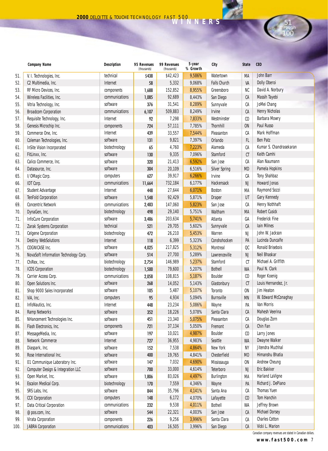|     | <b>Company Name</b>                   | <b>Description</b> | 95 Revenues<br>(thousands) | 99 Revenues<br>(thousands) | 5-year<br>% Growth | City                 | <b>State</b>   | <b>CEO</b>              |
|-----|---------------------------------------|--------------------|----------------------------|----------------------------|--------------------|----------------------|----------------|-------------------------|
| 51. | V. I. Technologies, Inc.              | technical          | \$438                      | \$42,423                   | 9,586%             | Watertown            | МA             | <b>John Barr</b>        |
| 52. | C2 Multimedia, Inc.                   | Internet           | 58                         | 5,332                      | 9,068%             | <b>Falls Church</b>  | VA             | Dolly Oberoi            |
| 53. | RF Micro Devices, Inc.                | components         | 1,688                      | 152,852                    | 8,955%             | Greensboro           | NC             | David A. Norbury        |
| 54. | Wireless Facilities, Inc.             | communications     | 1,085                      | 92,689                     | 8,443%             | San Diego            | СA             | Massih Tayebi           |
| 55. | Vitria Technology, Inc.               | software           | 376                        | 31,541                     | 8,289%             | Sunnyvale            | СA             | JoMei Chang             |
| 56. | <b>Broadcom Corporation</b>           | communications     | 6,107                      | 509,883                    | 8,249%             | <b>Irvine</b>        | СA             | <b>Henry Nicholas</b>   |
| 57. | Requisite Technology, Inc.            | Internet           | 92                         | 7,298                      | 7,833%             | Westminster          | C <sub>0</sub> | <b>Barbara Mowry</b>    |
| 58. | Genesis Microchip Inc.                | components         | 724                        | 57,111                     | 7,785%             | <b>Thornhill</b>     | <b>ON</b>      | Paul Russo              |
| 59. | Commerce One, Inc.                    | Internet           | 439                        | 33,557                     | 7,544%             | Pleasanton           | CA             | Mark Hoffman            |
| 60. | Coleman Technologies, Inc.            | software           | 131                        | 9,821                      | 7,397%             | Orlando              | FL.            | <b>Ben Patz</b>         |
| 61. | <b>InSite Vision Incorporated</b>     | biotechnology      | 65                         | 4,760                      | 7,223%             | Alameda              | CA             | Kumar S. Chandrasekaran |
| 62. | FitLinxx, Inc.                        | software           | 130                        | 9,335                      | 7,096%             | Stamford             | $C$ T          | Keith Camhi             |
| 63. | Calico Commerce, Inc.                 | software           | 320                        | 21,413                     | 6,592%             | San Jose             | CA             | Alan Naumann            |
| 64. | Datasource, Inc.                      | software           | 304                        | 20,109                     | 6,516%             | <b>Silver Spring</b> | <b>MD</b>      | Pamela Hopkins          |
| 65. | I/OMagic Corp.                        | computers          | 627                        | 39,917                     | 6,266%             | Irvine               | CA             | <b>Tony Shahbaz</b>     |
| 66. | IDT Corp.                             | communications     | 11,664                     | 732,184                    | 6,177%             | Hackensack           | <b>NJ</b>      | <b>Howard Jonas</b>     |
| 67. | <b>Student Advantage</b>              | Internet           | 448                        | 27,644                     | 6,071%             | Boston               | МA             | Raymond Sozzi           |
| 68. | <b>TenFold Corporation</b>            | software           | 1,548                      | 92,429                     | 5,871%             | <b>Draper</b>        | UT             | Gary Kennedy            |
| 69. | <b>Concentric Network</b>             | communications     | 2,483                      | 147,060                    | 5,823%             | San Jose             | СA             | <b>Henry Nothhaft</b>   |
| 70. | DynaGen, Inc.                         | biotechnology      | 498                        | 29,140                     | 5,751%             | Waltham              | МA             | <b>Robert Cusick</b>    |
| 71. | <b>InfoCure Corporation</b>           | software           | 3,486                      | 203,634                    | 5,741%             | Atlanta              | GA             | <b>Frederick Fine</b>   |
| 72. | Zarak Systems Corporation             | technical          | 521                        | 29,705                     | 5,602%             | Sunnyvale            | СA             | <b>Iain Milnes</b>      |
| 73. | <b>Celgene Corporation</b>            | biotechnology      | 472                        | 26,210                     | 5,453%             | Warren               | <b>NJ</b>      | John W. Jackson         |
| 74. | <b>Destiny WebSolutions</b>           | Internet           | 118                        | 6,399                      | 5,323%             | Conshohocken         | PA             | Lucinda Duncalfe        |
| 75. | COGNICASE Inc.                        | software           | 4,025                      | 217,825                    | 5,312%             | Montreal             | QC             | <b>Ronald Brisebois</b> |
| 76. | NovaSoft Information Technology Corp. | software           | 514                        | 27,700                     | 5,289%             | Lawrenceville        | NJ             | Neil Bhaskar            |
| 77. | ChiRex, Inc.                          | biotechnology      | 2,754                      | 146,989                    | 5,237%             | Stamford             | CT             | Michael A. Griffith     |
| 78. | <b>ICOS Corporation</b>               | biotechnology      | 1,500                      | 79,600                     | 5,207%             | <b>Bothell</b>       | <b>WA</b>      | Paul N. Clark           |
| 79. | Carrier Access Corp.                  | communications     | 2,058                      | 108,815                    | 5,187%             | Boulder              | CO             | Roger Koenig            |
| 80. | Open Solutions Inc.                   | software           | 268                        | 14,052                     | 5,143%             | Glastonbury          | C <sub>T</sub> | Louis Hernandez, Jr.    |
| 81. | Shop 9000 Sales Incorporated          | software           | 105                        | 5,487                      | 5,107%             | Toronto              | <b>ON</b>      | <b>Jim Heaton</b>       |
| 82. | ViA, Inc.                             | computers          | 95                         | 4,934                      | 5,094%             | <b>Burnsville</b>    | <b>MN</b>      | W. Edward McConaghay    |
| 83. | InfoNautics, Inc.                     | Internet           | 448                        | 23,234                     | 5,086%             | Wayne                | PA             | Van Morris              |
| 84. | <b>Ramp Networks</b>                  | software           | 352                        | 18,226                     | 5,078%             | Santa Clara          | СA             | Mahesh Veerina          |
| 85. | NHancement Technologies Inc.          | software           | 451                        | 23,340                     | 5,075%             | Pleasanton           | CA             | Douglas Zorn            |
| 86. | Flash Electronics, Inc.               | components         | 721                        | 37,134                     | 5,050%             | Fremont              | CA             | Chin Fan                |
| 87. | MessageMedia, Inc.                    | software           | 197                        | 10,021                     | 4,987%             | Boulder              | CO.            | Larry Jones             |
| 88. | Network Commerce                      | Internet           | $727$                      | 36,955                     | 4,983%             | Seattle              | WA             | Dwayne Walker           |
| 89. | Diaspark, Inc.                        | software           | 152                        | 7,538                      | 4,864%             | New York             | NY             | Jitendra Muchhal        |
| 90. | Rose International Inc.               | software           | 400                        | 19,765                     | 4,841%             | Chesterfield         | <b>MO</b>      | Himanshu Bhatia         |
| 91. | 01 Communique Laboratory Inc.         | software           | 147                        | 7,032                      | 4,690%             | Mississauga          | <b>ON</b>      | Andrew Cheung           |
| 92. | Computer Design & Integration LLC     | software           | $700\,$                    | 33,000                     | 4,614%             | Teterboro            | <b>NJ</b>      | Eric Bakker             |
| 93. | Open Market, Inc.                     | software           | 1,806                      | 83,026                     | 4,497%             | Burlington           | МA             | Harland LaVigne         |
| 94. | Escalon Medical Corp.                 | biotechnology      | 170                        | 7,559                      | 4,346%             | Wayne                | PA             | Richard J. DePiano      |
| 95. | SRS Labs, Inc.                        | software           | 844                        | 35,796                     | 4,141%             | Santa Ana            | СA             | <b>Thomas Yuen</b>      |
| 96. | <b>CCX Corporation</b>                | computers          | 148                        | 6,172                      | 4,070%             | Lafayette            | $\mathfrak{c}$ | Tom Hanchin             |
| 97. | Data Critical Corporation             | communications     | 232                        | 9,538                      | 4,011%             | <b>Bothell</b>       | WA             | Jeffrey Brown           |
| 98. | @pos.com, Inc.                        | software           | 544                        | 22,321                     | 4,003%             | San Jose             | CA             | Michael Dorsey          |
| 99. | Virata Corporation                    | components         | 226                        | 9,256                      | 3,996%             | Santa Clara          | СA             | <b>Charles Cotton</b>   |
| 00. | <b>JABRA Corporation</b>              | communications     | 403                        | 16,505                     | 3,996%             | San Diego            | СA             | Vicki L. Marion         |

Canadian company revenues are stated in Canadian dollars.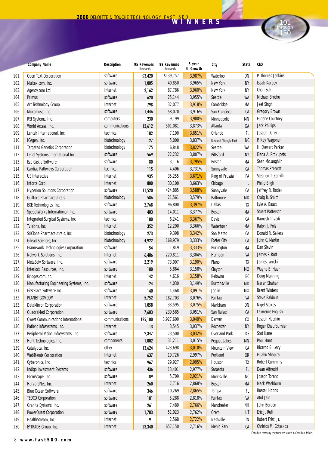|      | <b>Company Name</b>                       | <b>Description</b> | 95 Revenues<br>(thousands) | 99 Revenues<br>(thousands) | 5-year<br>% Growth | City                   | <b>State</b> | CEO                     |
|------|-------------------------------------------|--------------------|----------------------------|----------------------------|--------------------|------------------------|--------------|-------------------------|
| 101. | Open Text Corporation                     | software           | \$3,420                    | \$139,757                  | 3,987%             | Waterloo               | 0N           | P. Thomas Jenkins       |
| 102. | Multex.com, Inc.                          | software           | 1,005                      | 40,850                     | 3,965%             | New York               | <b>NY</b>    | <b>Isaak Karaev</b>     |
| 103. | Agency.com Ltd.                           | Internet           | 2,162                      | 87,786                     | 3,960%             | New York               | ΝY           | Chan Suh                |
| 104. | Primus                                    | software           | 620                        | 25,144                     | 3,955%             | Seattle                | WA           | Michael Brochu          |
| 105. | Art Technology Group                      | Internet           | 798                        | 32,077                     | 3,918%             | Cambridge              | МA           | <b>Jeet Singh</b>       |
| 106. | Micromuse, Inc.                           | software           | 1,446                      | 58,070                     | 3,916%             | San Francisco          | СA           | <b>Gregory Brown</b>    |
| 107. | RSI Systems, Inc.                         | computers          | 230                        | 9,199                      | 3,900%             | Minneapolis            | ΜN           | <b>Eugene Courtney</b>  |
| 108. | World Access, Inc.                        | communications     | 12,612                     | 501,081                    | 3,873%             | Atlanta                | GA           | <b>Jack Phillips</b>    |
| 109. | Lentek International, Inc.                | technical          | 182                        | 7,190                      | 3,851%             | Orlando                | FL           | Joseph Durek            |
| 110. | ICAgen, Inc.                              | biotechnology      | 127                        | 5,000                      | 3,837%             | Research Triangle Park | NC           | P. Kay Wagoner          |
| 111. | <b>Targeted Genetics Corporation</b>      | biotechnology      | 175                        | 6,848                      | 3,822%             | Seattle                | WA           | H. Stewart Parker       |
| 112. | Lenel Systems International Inc.          | software           | 569                        | 22,232                     | 3,807%             | Pittsford              | ΝY           | Elena A. Prokupets      |
| 113. | Eze Castle Software                       | software           | 80                         | 3,116                      | 3,795%             | <b>Boston</b>          | МA           | Sean McLaughlin         |
| 114. | Cardiac Pathways Corporation              | technical          | 115                        | 4,406                      | 3,731%             | Sunnyvale              | СA           | <b>Thomas Prescott</b>  |
| 115. | <b>US Interactive</b>                     | Internet           | 935                        | 35,255                     | 3,671%             | King of Prussia        | PA           | Stephen T. Zarrilli     |
| 116. | Inforte Corp.                             | Internet           | 800                        | 30,100                     | 3,663%             | Chicago                | IL           | <b>Philip Bligh</b>     |
| 117. | <b>Hyperion Solutions Corporation</b>     | software           | 11,520                     | 424,885                    | 3,588%             | Sunnyvale              | СA           | Jeffrey R. Rodek        |
| 118. | <b>Guilford Pharmaceuticals</b>           | biotechnology      | 586                        | 21,561                     | 3,579%             | <b>Baltimore</b>       | MD           | Craig R. Smith          |
| 119. | <b>EXE Technologies, Inc.</b>             | software           | 2,768                      | 96,800                     | 3,397%             | <b>Dallas</b>          | TX           | Lyle A. Baack           |
| 120. | SpeechWorks International, Inc.           | software           | 403                        | 14,011                     | 3,377%             | <b>Boston</b>          | МA           | <b>Stuart Patterson</b> |
| 121. | Integrated Surgical Systems, Inc.         | technical          | 180                        | 6,241                      | 3,367%             | Davis                  | СA           | <b>Ramesh Trivedi</b>   |
| 122. | Tvisions, Inc.                            | Internet           | 352                        | 12,200                     | 3,366%             | Watertown              | МA           | Ralph J. Folz           |
| 123. | SciClone Pharmaceuticals, Inc.            | biotechnology      | 273                        | 9,398                      | 3,342%             | San Mateo              | СA           | Donald R. Sellers       |
| 124. | Gilead Sciences, Inc.                     | biotechnology      | 4,922                      | 168,979                    | 3,333%             | <b>Foster City</b>     | СA           | John C. Martin          |
| 125. | Framework Technologies Corporation        | software           | 54                         | 1,849                      | 3,333%             | <b>Burlington</b>      | МA           | Dan Slavin              |
| 126. | Network Solutions, Inc.                   | Internet           | 6,486                      | 220,811                    | 3,304%             | Herndon                | VA           | James P. Rutt           |
| 127. | MetaSolv Software, Inc.                   | software           | 2,219                      | 73,007                     | 3,190%             | Plano                  | TX           | James Janicki           |
| 128. | Interlock Resources, Inc.                 | software           | 180                        | 5,864                      | 3,158%             | Clayton                | МO           | Wayne B. Haar           |
| 129. | Bridges.com Inc.                          | Internet           | 142                        | 4,616                      | 3,158%             | Kelowna                | BC           | Doug Manning            |
| 130. | Manufacturing Engineering Systems, Inc.   | software           | 124                        | 4,030                      | 3,149%             | <b>Burtonsville</b>    | <b>MD</b>    | Naren Shahani           |
| 131. | FirstPlace Software Inc.                  | software           | 140                        | 4,468                      | 3,091%             | Joplin                 | MO           | <b>Brent Winters</b>    |
| 132. | PLANET GOV.COM                            | Internet           | 5,752                      | 182,703                    | 3,076%             | Fairfax                | VA           | <b>Steve Baldwin</b>    |
| 133. | <b>DataMirror Corporation</b>             | software           | 1,058                      | 33,595                     | 3,075%             | Markham                | 0N           | <b>Nigel Stokes</b>     |
| 134. | QuadraMed Corporation                     | software           | 7,603                      | 239,585                    | 3,051%             | San Rafael             | СA           | Lawrence English        |
| 135. | <b>Qwest Communications International</b> | communications     | 125,100                    | 3,927,600                  | 3,040%             | Denver                 | CO           | Joseph Nacchio          |
| 136. | Patient Infosystems, Inc.                 | Internet           | 113                        | 3,545                      | 3,037%             | Rochester              | ΝY           | Roger Chaufournier      |
| 137. | Peripheral Vision Infosystems, Inc.       | software           | 2,347                      | 73,500                     | 3,032%             | <b>Overland Park</b>   | КS           | Scot Kane               |
| 138. | Hunt Technologies, Inc.                   | components         | 1,002                      | 31,211                     | 3,015%             | Pequot Lakes           | ΜN           | Paul Hunt               |
| 139. | Catalytica, Inc.                          | other              | 13,624                     | 423,698                    | 3,010%             | <b>Mountain View</b>   | СA           | Ricardo B. Levy         |
| 140. | <b>WebTrends Corporation</b>              | Internet           | 637                        | 19,726                     | 2,997%             | Portland               | 0R           | Elijahu Shapira         |
| 141. | Cyberonics, Inc.                          | technical          | 967                        | 29,927                     | 2,995%             | Houston                | TX           | <b>Robert Cummins</b>   |
| 142. | Indigo Investment Systems                 | software           | 436                        | 13,401                     | 2,977%             | Sarasota               | FL.          | Dean Albrecht           |
| 143. | FormScape, Inc.                           | software           | 189                        | 5,709                      | 2,921%             | Morrisville            | NC           | Joseph Torano           |
| 144. | HarvardNet, Inc.                          | Internet           | 260                        | 7,716                      | 2,868%             | <b>Boston</b>          | МA           | Mark Washburn           |
| 145. | <b>Blue Ocean Software</b>                | software           | 346                        | 10,269                     | 2,865%             | Tampa                  | FL.          | <b>Russell Hobbs</b>    |
| 146. | <b>TEOCO Corporation</b>                  | software           | 181                        | 5,288                      | 2,818%             | Fairfax                | VA           | Atul Jain               |
| 147. | Granite Systems, Inc.                     | software           | 261                        | 7,489                      | 2,766%             | Manchester             | NΗ           | John Borden             |
| 148. | <b>PowerQuest Corporation</b>             | software           | 1,783                      | 51,023                     | 2,762%             | Orem                   | UT           | Eric J. Ruff            |
| 149. | HealthStream, Inc.                        | Internet           | 91                         | 2,568                      | 2,722%             | Nashville              | TN           | Robert Frist, Jr.       |
| 150. | E*TRADE Group, Inc.                       | Internet           | 23,340                     | 657,150                    | 2,716%             | <b>Menlo Park</b>      | CA           | Christos M. Cotsakos    |

Canadian company revenues are stated in Canadian dollars.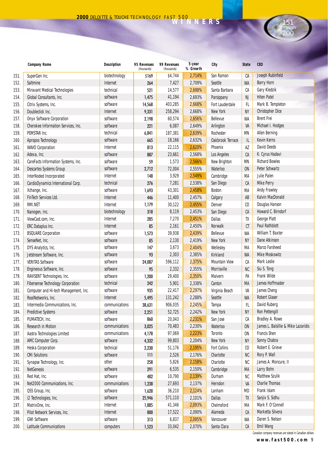

**www.fast500.com** 9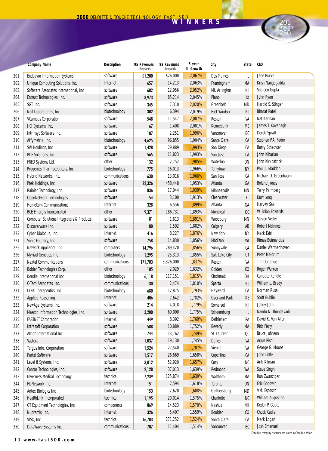|      | <b>Company Name</b>                                  | <b>Description</b> | 95 Revenues<br>(thousands) | 99 Revenues<br>(thousands) | 5-year<br>% Growth | City                 | <b>State</b>                | CEO                      |
|------|------------------------------------------------------|--------------------|----------------------------|----------------------------|--------------------|----------------------|-----------------------------|--------------------------|
| 201. | <b>Endeavor Information Systems</b>                  | software           | \$1,200                    | \$26,000                   | 2,067%             | Des Plaines          | IL                          | Jane Burke               |
| 202. | Unique Computing Solutions, Inc.                     | Internet           | 657                        | 14,213                     | 2,063%             | Framingham           | МA                          | Krish Nangegadda         |
| 203. | Software Associates International, Inc.              | software           | 602                        | 12,956                     | 2,052%             | Mt. Arlington        | NJ                          | Shaleen Gupta            |
| 204. | Entrust Technologies, Inc.                           | software           | 3,973                      | 85,214                     | 2,045%             | Plano                | TX                          | John Ryan                |
| 205. | SGT, Inc.                                            | software           | 345                        | 7,310                      | 2,020%             | Greenbelt            | MD                          | Harold S. Stinger        |
| 206. | Neil Laboratories, Inc.                              | biotechnology      | 302                        | 6,394                      | 2,019%             | <b>East Windsor</b>  | <b>NJ</b>                   | <b>Bharat Patel</b>      |
| 207. | <b>VCampus Corporation</b>                           | software           | 548                        | 11,547                     | 2,007%             | Reston               | VA                          | Nat Kannan               |
| 208. | HCI Systems, Inc.                                    | software           | 67                         | 1,408                      | 2,001%             | Kennebunk            | ME                          | James T. Kavanagh        |
| 209. | Intrinsyc Software Inc.                              | software           | 107                        | 2,251                      | 1,996%             | Vancouver            | BC                          | <b>Derek Spratt</b>      |
| 210. | Affymetrix, Inc.                                     | biotechnology      | 4,625                      | 96,855                     | 1,994%             | Santa Clara          | СA                          | Stephen P.A. Fodor       |
| 211. | SVI Holdings, Inc.                                   | software           | 1,428                      | 29,889                     | 1,993%             | San Diego            | CА                          | <b>Barry Schechter</b>   |
| 212. | PDF Solutions, Inc.                                  | software           | 565                        | 11,823                     | 1,993%             | San Jose             | CA                          | John Kibarian            |
| 213. | FRED Systems Ltd.                                    | other              | 132                        | 2,752                      | 1,985%             | Waterloo             | ON                          | John Kirkpatrick         |
| 214. | Progenics Pharmaceuticals, Inc.                      | biotechnology      | 775                        | 16,013                     | 1,966%             | Tarrytown            | <b>NY</b>                   | Paul J. Maddon           |
| 215. | Hybrid Networks, Inc.                                | communications     | 630                        | 13,016                     | 1,966%             | San Jose             | CА                          | Michael D. Greenbaum     |
| 216. | Ptek Holdings, Inc.                                  | software           | 22,326                     | 458,448                    | 1,953%             | Atlanta              | GA                          | <b>Boland Jones</b>      |
| 217. | Rainier Technology, Inc.                             | software           | 836                        | 17,044                     | 1,939%             | <b>Minneapolis</b>   | ΜN                          | <b>Terry Palmberg</b>    |
| 218. | OpenNetwork Technologies                             | software           | 154                        | 3,100                      | 1,913%             | Clearwater           | <b>FL</b>                   | Kurt Long                |
| 219. | <b>HomeCom Communications</b>                        | Internet           | 328                        | 6,556                      | 1,899%             | Atlanta              | GA                          | Harvey Sax               |
| 220. | <b>BCE Emergis Incorporated</b>                      | other              | 9,371                      | 186,731                    | 1,893%             | Montreal             | $_{\alpha}$                 | W. Brian Edwards         |
| 221. | <b>Computer Solutions Integrators &amp; Products</b> | software           | 81                         | 1,613                      | 1,891%             | Woodbury             | ΜN                          | <b>Steven Vetter</b>     |
| 222. | Discoverware Inc.                                    | software           | 80                         | 1,592                      | 1,882%             | Calgary              | AB                          | <b>Robert McInnes</b>    |
| 223. | Cyber Dialogue, Inc.                                 | Internet           | 416                        | 8,227                      | 1,876%             | New York             | NΥ                          | Mark Esiri               |
| 224. | Sonic Foundry, Inc.                                  | software           | 758                        | 14,830                     | 1,856%             | Madison              | WI                          | <b>Rimas Buinevicius</b> |
| 225. | Network Appliance, Inc.                              | computers          | 14,796                     | 289,420                    | 1,856%             | Sunnyvale            | CА                          | Daniel Warmenhoven       |
| 226. | Myriad Genetics, Inc.                                | biotechnology      | 1,295                      | 25,313                     | 1,855%             | Salt Lake City       | UT                          | Peter Meldrum            |
| 227. | <b>Nextel Communications</b>                         | communications     | 171,703                    | 3,326,000                  | 1,837%             | Reston               | VA                          | <b>Tim Donahue</b>       |
| 228. | Bolder Technologies Corp.                            | other              | 105                        | 2,029                      | 1,832%             | Golden               | C <sub>0</sub>              | Roger Warren             |
| 229. | Kendle International Inc.                            | biotechnology      | 6,118                      | 117,151                    | 1,815%             | Cincinnati           | OH                          | <b>Candace Kendle</b>    |
| 230. | C-Tech Associates, Inc.                              | communications     | 130                        | 2,474                      | 1,810%             | Sparta               | <b>NJ</b>                   | William L. Brady         |
| 231. | LYNX Therapeutics, Inc.                              | biotechnology      | 680                        | 12,875                     | 1,793%             | Hayward              | CА                          | Norman Rusell            |
| 232. | <b>Applied Reasoning</b>                             | Internet           | 406                        | 7,642                      | 1,782%             | <b>Overland Park</b> | KS                          | <b>Scott Bublin</b>      |
| 233. | NewAge Systems, Inc.                                 | software           | 214                        | 4,018                      | 1,779%             | Somerset             | NJ                          | Johny John               |
| 234. | Mascon Information Technologies, Inc.                | software           | 3,200                      | 60,000                     | 1,775%             | Schaumburg           | IL                          | Nandu N. Thondavadi      |
| 235. | <b>FASTNET Corporation</b>                           | Internet           | 449                        | 8,392                      | 1,769%             | Bethlehem            | PA                          | David K. Van Allen       |
| 236. | <b>Infrasoft Corporation</b>                         | software           | 588                        | 10,889                     | 1,752%             | <b>Beverly</b>       | MA                          | <b>Rick Fiery</b>        |
| 237. | Atrion International Inc.                            | software           | 744                        | 13,762                     | 1,749%             | St. Laurent          | QC                          | <b>Bruce Johnson</b>     |
| 238. | Vastera                                              | software           | 1,037                      | 19,130                     | 1,745%             | <b>Dulles</b>        | VA                          | Arjun Rishi              |
| 239. | Targus Info. Corporation                             | software           | 1,524                      | 27,540                     | 1,707%             | Vienna               | VA                          | George G. Moore          |
| 240. | Portal Software                                      | software           | 1,517                      | 26,669                     | 1,658%             | Cupertino            | СA                          | John Little              |
| 241. | Level 8 Systems, Inc.                                | software           | 3,012                      | 52,920                     | 1,657%             | Cary                 | NC                          | Arik Kilman              |
| 242. | Concur Technologies, Inc.                            | software           | 2,128                      | 37,013                     | 1,639%             | Redmond              | WA                          | <b>Steve Singh</b>       |
| 243. | <b>Inverness Medical Technology</b>                  | technical          | 7,239                      | 125,874                    | 1,639%             | Waltham              | МA                          | Ron Zwanziger            |
| 244. | FloNetwork Inc.                                      | Internet           | 151                        | 2,594                      | 1,618%             | Toronto              | <b>ON</b>                   | Eric Goodwin             |
| 245. | Antex Biologics Inc.                                 | biotechnology      | 153                        | 2,620                      | 1,608%             | Gaithersburg         | MD                          | V.M. Esposito            |
| 246. | HealthLink Incorporated                              | technical          | 1,195                      | 20,014                     | 1,575%             | Charlotte            | NC                          | <b>William Augustine</b> |
| 247. | GT Equipment Technologies, Inc.                      | components         | 869                        | 14,523                     | 1,570%             | Nashua               | NΗ                          | Kedar P. Gupta           |
| 248. | Nupremis, Inc.                                       | Internet           | 326                        | 5,407                      | 1,559%             | Boulder              | $\boldsymbol{\mathfrak{c}}$ | Chuck Cadle              |
| 249. | VISX, Inc.                                           | technical          | 16,703                     | 271,252                    | 1,524%             | Santa Clara          | CА                          | Mark Logan               |
| 250. | DataWave Systems Inc.                                | communications     | 707                        | 11,404                     | 1,514%             | Vancouver            | BC                          | Josh Emanuel             |

10 **www.fast500.com**

Canadian company revenues are stated in Canadian dollars.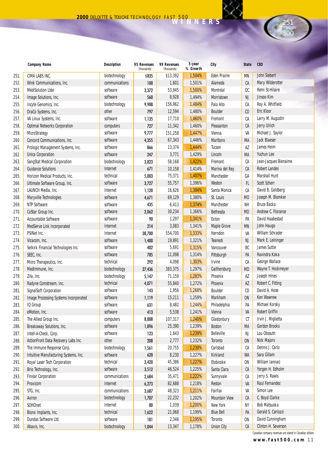|      | <b>Company Name</b>                   | <b>Description</b> | 95 Revenues<br>(thousands) | 99 Revenues<br>(thousands) | 5-year<br>% Growth | City                 | <b>State</b>   | <b>CEO</b>            |
|------|---------------------------------------|--------------------|----------------------------|----------------------------|--------------------|----------------------|----------------|-----------------------|
| 251. | CIMA LABS INC.                        | biotechnology      | \$835                      | \$13,392                   | 1,504%             | <b>Eden Prairie</b>  | <b>MN</b>      | John Siebert          |
| 252. | Wink Communications, Inc.             | communications     | 100                        | 1,601                      | 1,501%             | Alameda              | СA             | Mary Wilderotter      |
| 253. | <b>MédiSolution Ltée</b>              | software           | 3,372                      | 53,945                     | 1,500%             | Montréal             | QC             | Remi St-Hilaire       |
| 254. | Image Solutions, Inc.                 | software           | 560                        | 8,928                      | 1,494%             | Morristown           | <b>NJ</b>      | Jinsoo Kim            |
| 255. | Incyte Genomics, Inc.                 | biotechnology      | 9,908                      | 156,962                    | 1,484%             | Palo Alto            | СA             | Roy A. Whitfield      |
| 256. | DraCo Systems, Inc.                   | other              | 797                        | 12,594                     | 1,480%             | <b>Boulder</b>       | C <sub>0</sub> | Eric Kloor            |
| 257. | VA Linux Systems, Inc.                | software           | 1,135                      | 17,710                     | 1,460%             | Fremont              | СA             | Larry M. Augustin     |
| 258. | <b>Optimal Networks Corporation</b>   | computers          | 727                        | 11,342                     | 1,460%             | Pleasanton           | CA             | Jerry Ulrich          |
| 259. | MicroStrategy                         | software           | 9,777                      | 151,258                    | 1,447%             | Vienna               | VA             | Michael J. Saylor     |
| 260. | Concord Communications, Inc.          | software           | 4,355                      | 67,343                     | 1,446%             | Marlboro             | MA             | <b>Jack Blaeser</b>   |
| 261. | Prologic Management Systems, Inc.     | software           | 866                        | 13,374                     | 1,444%             | Tucson               | AZ             | James Heim            |
| 262. | <b>Unica Corporation</b>              | software           | 247                        | 3,771                      | 1,429%             | Lincoln              | MA             | Yuchun Lee            |
| 263. | SangStat Medical Corporation          | biotechnology      | 3,823                      | 58,168                     | 1,422%             | Fremont              | СA             | Jean-Jacques Bienaime |
| 264. | <b>Guidance Solutions</b>             | Internet           | 671                        | 10,158                     | 1,414%             | Marina del Rey       | СA             | <b>Robert Landes</b>  |
| 265. | Horizon Medical Products, Inc.        | technical          | 5,003                      | 75,371                     | 1,407%             | Manchester           | GA             | <b>Marshall Hunt</b>  |
| 266. | Ultimate Software Group, Inc.         | software           | 3,727                      | 55,757                     | 1,396%             | Weston               | FL.            | Scott Scherr          |
| 267. | LAUNCH Media, Inc.                    | Internet           | 1,120                      | 16,626                     | 1,384%             | Santa Monica         | CA             | David B. Goldberg     |
| 268. | Maryville Technologies                | software           | 4,671                      | 69,129                     | 1,380%             | St. Louis            | <b>MO</b>      | Joseph M. Blomker     |
| 269. | NTP Software                          | software           | 435                        | 6,413                      | 1,374%             | Manchester           | <b>NH</b>      | <b>Bruce Backa</b>    |
| 270. | CoStar Group Inc.                     | software           | 2,062                      | 30,234                     | 1,366%             | Bethesda             | <b>MD</b>      | Andrew C. Florance    |
| 271. | Accountable Software                  | software           | 90                         | 1,297                      | 1,341%             | Exton                | PA             | David Haabestad       |
| 272. | MedServe Link Incorporated            | Internet           | 214                        | 3,083                      | 1,341%             | Maple Grove          | <b>MN</b>      | John Haugo            |
| 273. | PSINet Inc.                           | Internet           | 38,700                     | 554,700                    | 1,333%             | Herndon              | VA             | William Schrader      |
| 274. | Vizacom, Inc.                         | software           | 1,400                      | 19,891                     | 1,321%             | Teaneck              | <b>NJ</b>      | Mark E. Leininger     |
| 275. | Selkirk Financial Technologies Inc.   | software           | 402                        | 5,691                      | 1,315%             | Vancouver            | BC             | James Suttie          |
| 276. | SEEC, Inc.                            | software           | 785                        | 11,098                     | 1,314%             | Pittsburgh           | PA             | Ravindra Koka         |
| 277. | Micro Therapeutics, Inc.              | technical          | 292                        | 4,098                      | 1,303%             | Irvine               | СA             | George Wallace        |
| 278. | MedImmune, Inc.                       | biotechnology      | 27,436                     | 383,375                    | 1,297%             | Gaithersburg         | <b>MD</b>      | Wayne T. Hockmeyer    |
| 279. | Zila, Inc.                            | biotechnology      | 5,147                      | 71,159                     | 1,283%             | Phoenix              | AZ             | Joseph Hines          |
| 280. | Radyne Comstream, Inc.                | technical          | 4,071                      | 55,840                     | 1,272%             | Phoenix              | AZ             | Robert C. Fitting     |
| 281. | <b>SignalSoft Corporation</b>         | software           | 143                        | 1,956                      | 1,268%             | Boulder              | $\mathfrak{c}$ | David A. Hose         |
| 282. | Image Processing Systems Incorporated | software           | 1,119                      | 15,211                     | 1,259%             | Markham              | <b>ON</b>      | <b>Ken Wawrew</b>     |
| 283. | <b>IQ</b> Group                       | software           | 631                        | 8,482                      | 1,244%             | Philadelphia         | PA             | Michael Korsky        |
| 284. | eMotion, Inc.                         | software           | 413                        | 5,538                      | 1,241%             | Vienna               | VA             | <b>Robert Griffin</b> |
| 285. | The Allied Group Inc.                 | computers          | 8,008                      | 107,317                    | 1,240%             | Glastonbury          | СT             | Irvin J. Miglietta    |
| 286. | Breakaway Solutions, Inc.             | software           | 1,896                      | 25,390                     | 1,239%             | <b>Boston</b>        | MA             | <b>Gordon Brooks</b>  |
| 287. | Intell-A-Check, Corp.                 | software           | 123                        | 1,643                      | 1,239%             | <b>Belleville</b>    | NJ             | Lou Obssuth           |
| 288. | ActionFront Data Recovery Labs Inc.   | other              | 208                        | 2,777                      | 1,232%             | Toronto              | <b>ON</b>      | <b>Nick Majors</b>    |
| 289. | The Immune Response Corp.             | biotechnology      | 1,561                      | 20,755                     | 1,230%             | Carlsbad             | СA             | Dennis J. Carlo       |
| 290. | Intuitive Manufacturing Systems, Inc. | software           | 620                        | 8,230                      | 1,227%             | Kirkland             | WA             | Sara Gillam           |
| 291. | Royal Laser Tech Corporation          | technical          | 3,420                      | 45,386                     | 1,227%             | Etobicoke            | <b>ON</b>      | William Iannaci       |
| 292. | Brio Technology, Inc.                 | software           | 3,512                      | 46,524                     | 1,225%             | Santa Clara          | СA             | Yorgen H. Edholm      |
| 293. | <b>Finisar Corporation</b>            | communications     | 2,684                      | 35,471                     | 1,222%             | Sunnyvale            | СA             | Jerry S. Rawls        |
| 294. | Proxicom                              | Internet           | 6,273                      | 82,688                     | 1,218%             | Reston               | VA             | Raul Fernandez        |
| 295. | STG, Inc.                             | communications     | 3,687                      | 48,323                     | 1,211%             | Fairfax              | VA             | Simon Lee             |
| 296. | Aviron                                | biotechnology      | 1,707                      | 22,232                     | 1,202%             | <b>Mountain View</b> | СA             | C. Boyd Clarke        |
| 297. | <b>SOHOnet</b>                        | Internet           | 80                         | 1,039                      | 1,200%             | New York             | NΥ             | <b>Bob Matsuoka</b>   |
| 298. | Bionx Implants, Inc.                  | technical          | 1,622                      | 21,068                     | 1,199%             | <b>Blue Bell</b>     | PA             | Gerald S. Carlozzi    |
| 299. | Dundas Software Ltd.                  | software           | 181                        | 2,346                      | 1,195%             | Toronto              | <b>ON</b>      | David Cunningham      |
| 300. | Abaxis, Inc.                          | biotechnology      | 1,044                      | 13,347                     | 1,178%             | <b>Union City</b>    | СA             | Clinton H. Severson   |

**www.fast500.com** 1 1 Canadian company revenues are stated in Canadian dollars.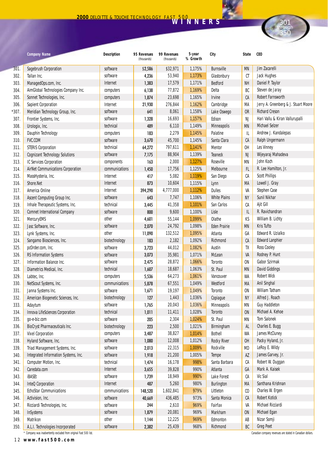## **<sup>2000</sup>** DELOITTE & TOUCHE TECHNOLOGY FAST <sup>500</sup> **WINNERS**

|      | <b>Company Name</b>                   | <b>Description</b> | 95 Revenues<br>(thousands) | 99 Revenues<br>(thousands) | 5-year<br>% Growth | City                  | <b>State</b>                | <b>CEO</b>                           |
|------|---------------------------------------|--------------------|----------------------------|----------------------------|--------------------|-----------------------|-----------------------------|--------------------------------------|
| 301. | Sagebrush Corporation                 | software           | \$2,586                    | \$32,971                   | 1,175%             | <b>Burnsville</b>     | <b>MN</b>                   | Jim Zacarelli                        |
| 302. | Tallan Inc.                           | software           | 4,236                      | 53,940                     | 1,173%             | Glastonbury           | CT                          | Jack Hughes                          |
| 303. | ManagedOps.com, Inc.                  | Internet           | 1,383                      | 17,579                     | 1,171%             | <b>Bedford</b>        | <b>NH</b>                   | Daniel P. Taylor                     |
| 304. | AimGlobal Technologies Company Inc.   | computers          | 6,138                      | 77,872                     | 1,169%             | Delta                 | BC                          | Steven de Jaray                      |
| 305. | Sonnet Technologies, Inc.             | computers          | 1,874                      | 23,698                     | 1,165%             | <b>Irvine</b>         | CA                          | <b>Robert Farnsworth</b>             |
| 306. | <b>Sapient Corporation</b>            | Internet           | 21,930                     | 276,844                    | 1,162%             | Cambridge             | MA                          | Jerry A. Greenberg & J. Stuart Moore |
| 307. | Meridian Technology Group, Inc.       | software           | 641                        | 8,061                      | 1,158%             | Lake Oswego           | <b>OR</b>                   | <b>Richard Creson</b>                |
| 307. | Frontier Systems, Inc.                | software           | 1,328                      | 16,693                     | 1,157%             | Edison                | NJ                          | Hari Vallu & Kiran Vallurupalli      |
| 308. | Urologix, Inc.                        | technical          | 489                        | 6,110                      | 1,149%             | <b>Minneapolis</b>    | <b>MN</b>                   | Michael Selzer                       |
| 309. | Dauphin Technology                    | computers          | 183                        | 2,279                      | 1,145%             | Palatine              | IL                          | Andrew J. Kandalepas                 |
| 310. | <b>FVC.COM</b>                        | software           | 3,670                      | 45,700                     | 1,145%             | Santa Clara           | СA                          | Ralph Ungermann                      |
| 311. | <b>STERIS Corporation</b>             | technical          | 64,272                     | 797,611                    | 1,141%             | <b>Mentor</b>         | OH                          | Les Vinney                           |
| 312. | <b>Cognizant Technology Solutions</b> | software           | 7,175                      | 88,904                     | 1,139%             | Teaneck               | <b>NJ</b>                   | Wijeyaraj Mahadeva                   |
| 313. | IC Services Corporation               | components         | 163                        | 2,000                      | 1,127%             | Roseville             | <b>MN</b>                   | John Koch                            |
| 314. | AirNet Communications Corporation     | communications     | 1,450                      | 17,756                     | 1,125%             | Melbourne             | <b>FL</b>                   | R. Lee Hamilton, Jr.                 |
| 315. | MassHysteria, Inc.                    | Internet           | 417                        | 5,082                      | 1,119%             | San Diego             | СA                          | <b>Scott Phillips</b>                |
| 316. | Shore.Net                             | Internet           | 873                        | 10,604                     | 1,115%             | Lynn                  | MA                          | Lowell J. Gray                       |
| 317. | America Online                        | Internet           | 394,290                    | 4,777,000                  | 1,112%             | <b>Dulles</b>         | VA                          | Stephen Case                         |
| 318. | Ascent Computing Group Inc.           | software           | 643                        | 7,747                      | 1,106%             | <b>White Plains</b>   | <b>NY</b>                   | Sunil Nikhar                         |
| 319. | Inhale Therapeutic Systems, Inc.      | technical          | 3,445                      | 41,358                     | 1,101%             | San Carlos            | СA                          | Ajit Gill                            |
| 320. | <b>Comnet International Company</b>   | software           | 800                        | 9,600                      | 1,100%             | Lisle                 | IL                          | R. Ravichandran                      |
| 321. | MercuryEMS                            | other              | 4,601                      | 55,144                     | 1,099%             | Olathe                | KS                          | William B. Lichty                    |
| 322. | Jasc Software, Inc.                   | software           | 2,070                      | 24,792                     | 1,098%             | <b>Eden Prairie</b>   | <b>MN</b>                   | Kris Tufto                           |
| 323. | Lynk Systems, Inc.                    | other              | 11,090                     | 132,512                    | 1,095%             | Atlanta               | GA                          | Edward R. Uzialko                    |
| 324. | Sangamo Biosciences, Inc.             | biotechnology      | 183                        | 2,182                      | 1,092%             | Richmond              | СA                          | <b>Edward Lanphier</b>               |
| 325. | pcOrder.com, Inc.                     | software           | 3,723                      | 44,012                     | 1,082%             | Austin                | TX                          | Ross Cooley                          |
| 326. | <b>RS Information Systems</b>         | software           | 3,073                      | 35,981                     | 1,071%             | McLean                | VA                          | Rodney P. Hunt                       |
| 327. | Information Balance Inc.              | software           | 2,475                      | 28,872                     | 1,066%             | Toronto               | <b>ON</b>                   | Gabor Szirmak                        |
| 328. | Diametrics Medical, Inc.              | technical          | 1,607                      | 18,687                     | 1,063%             | St. Paul              | <b>MN</b>                   | David Giddings                       |
| 329. | Labtec, Inc.                          | computers          |                            | 64,273                     | 1,061%             |                       | WA                          | <b>Robert Wick</b>                   |
| 330. |                                       | communications     | 5,536                      | 67,551                     | 1,049%             | Vancouver<br>Westford | MA                          | <b>Anil Singhal</b>                  |
|      | NetScout Systems, Inc.                | software           | 5,878                      |                            |                    |                       |                             | <b>William Tatham</b>                |
| 331. | Janna Systems Inc.                    |                    | 1,671                      | 19,197                     | 1,049%             | Toronto               | <b>ON</b>                   | Alfred J. Roach                      |
| 332. | American Biogenetic Sciences, Inc.    | biotechnology      | 127                        | 1,443                      | 1,036%             | Copiague              | <b>NY</b>                   |                                      |
| 333. | Adaytum                               | software           | 1,765                      | 20,043                     | 1,036%             | Minneapolis           | <b>MN</b>                   | <b>Guy Haddleton</b>                 |
| 334. | Innova LifeSciences Corporation       | technical          | 1,011                      | 11,411                     | 1,028%             | Toronto               | <b>ON</b>                   | Michael A. Kehoe                     |
| 335. | go-e-biz.com                          | software           | 205                        | 2,304                      | 1,024%             | St. Paul              | MN                          | <b>Tom Salonek</b>                   |
| 336. | BioCryst Pharmaceuticals Inc.         | biotechnology      | 223                        | 2,500                      | 1,021%             | Birmingham            | AL                          | Charles E. Bugg                      |
| 337. | <b>Vixel Corporation</b>              | computers          | 3,487                      | 38,827                     | 1,014%             | <b>Bothell</b>        | WA                          | James McCluney                       |
| 338. | Hyland Software, Inc.                 | software           | 1,080                      | 12,008                     | 1,012%             | <b>Rocky River</b>    | 0H                          | Packy Hyland, Jr.                    |
| 339. | Triad Management Systems, Inc.        | software           | 2,013                      | 22,315                     | 1,009%             | Rockville             | MD                          | LeRoy E. Wildy                       |
| 340. | Integrated Information Systems, Inc.  | software           | 1,918                      | 21,200                     | 1,005%             | Tempe                 | AZ                          | James Garvey, Jr.                    |
| 341. | Computer Motion, Inc.                 | technical          | 1,474                      | 16,178                     | 998%               | Santa Barbara         | СA                          | Robert W. Duggan                     |
| 342. | Caredata.com                          | Internet           | 3,655                      | 39,828                     | 990%               | Atlanta               | GA                          | Mark A. Kaisek                       |
| 343. | <b>iBASEt</b>                         | software           | 1,739                      | 18,949                     | 990%               | Lake Forest           | СA                          | Vic Sial                             |
| 344. | <b>InteQ Corporation</b>              | Internet           | 487                        | 5,260                      | 980%               | <b>Burlington</b>     | MA                          | Santhana Krishnan                    |
| 345. | <b>EchoStar Communications</b>        | communications     | 148,520                    | 1,602,841                  | 979%               | Littleton             | $\boldsymbol{\mathfrak{c}}$ | Charles W. Ergen                     |
| 346. | Activision, Inc.                      | software           | 40,669                     | 436,485                    | 973%               | Santa Monica          | СA                          | <b>Robert Kotick</b>                 |
| 347. | Ricciardi Technologies, Inc.          | software           | 244                        | 2,610                      | 969%               | Fairfax               | VA                          | Michael Ricciardi                    |
| 348. | <b>InSystems</b>                      | software           | 1,879                      | 20,081                     | 969%               | Markham               | <b>ON</b>                   | Michael Egan                         |
| 349. | Matrikon                              | other              | 1,144                      | 12,225                     | 969%               | Edmonton              | AB                          | Nizar Somji                          |
| 350. | A.L.I. Technologies Incorporated      | software           | 2,382                      | 25,439                     | 968%               | Richmond              | BC                          | <b>Greg Peet</b>                     |

\* Company was inadvertently excluded from original Fast 500 list. Canadian company revenues are stated in Canadian dollars.

12 **www.fast500.com**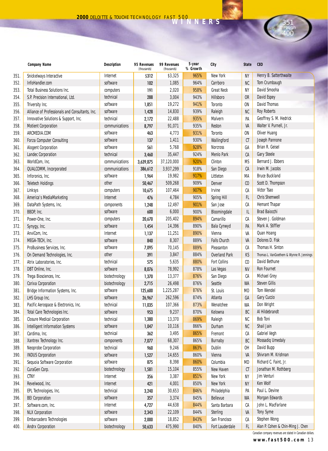|      | <b>Company Name</b>                             | <b>Description</b> | 95 Revenues<br>(thousands) | 99 Revenues<br>(thousands) | 5-year<br>% Growth | City                 | <b>State</b>   | <b>CEO</b>                               |  |
|------|-------------------------------------------------|--------------------|----------------------------|----------------------------|--------------------|----------------------|----------------|------------------------------------------|--|
| 351. | Snickelways Interactive                         | Internet           | \$312                      | \$3,325                    | 965%               | New York             | ΝY             | Henry B. Satterthwaite                   |  |
| 352. | InfoHandler.com                                 | software           | 102                        | 1,085                      | 964%               | Carrboro             | NC             | Tom Crumbaugh                            |  |
| 353. | <b>Total Business Solutions Inc.</b>            | computers          | 191                        | 2,020                      | 958%               | <b>Great Neck</b>    | NY             | David Smooha                             |  |
| 354. | S.P. Precision International, Ltd.              | technical          | 288                        | 3,004                      | 943%               | Hillsboro            | 0R             | David Espey                              |  |
| 355. | Triversity Inc.                                 | software           | 1,851                      | 19,272                     | 941%               | Toronto              | ON             | <b>David Thomas</b>                      |  |
| 356. | Alliance of Professionals and Consultants, Inc. | software           | 1,428                      | 14,830                     | 939%               | Raleigh              | NC             | <b>Roy Roberts</b>                       |  |
| 357. | Innovative Solutions & Support, Inc.            | technical          | 2,172                      | 22,488                     | 935%               | Malvern              | PA             | Geoffrey S. M. Hedrick                   |  |
| 358. | <b>Motient Corporation</b>                      | communications     | 8,797                      | 91,071                     | 935%               | <b>Reston</b>        | VA             | Walter V. Purnell, Jr.                   |  |
| 359. | ARCMEDIA.COM                                    | software           | 463                        | 4,773                      | 931%               | Toronto              | ON             | Oliver Huang                             |  |
| 360. | <b>Forza Computer Consulting</b>                | software           | 137                        | 1,411                      | 930%               | Wallingford          | СT             | Joseph Pannone                           |  |
| 361. | <b>Alogent Corporation</b>                      | software           | 561                        | 5,768                      | 928%               | <b>Norcross</b>      | GA             | Brian R. Geisel                          |  |
| 362. | Landec Corporation                              | technical          | 3,460                      | 35,447                     | 924%               | Menlo Park           | СA             | <b>Gary Steele</b>                       |  |
| 363. | WorldCom, Inc.                                  | communications     | 3,639,875                  | 37,120,000                 | 920%               | Clinton              | ΜS             | Bernard J. Ebbers                        |  |
| 364. | QUALCOMM, Incorporated                          | communications     | 386,612                    | 3,937,299                  | 918%               | San Diego            | CA             | Irwin M. Jacobs                          |  |
| 365. | Inforonics, Inc.                                | software           | 1,964                      | 19,982                     | 917%               | Littleton            | МA             | <b>Bruce Buckland</b>                    |  |
| 366. | <b>Teletech Holdings</b>                        | other              | 50,467                     | 509,268                    | 909%               | Denver               | C <sub>0</sub> | Scott D. Thompson                        |  |
| 367. | Linksys                                         | computers          | 10,675                     | 107,464                    | 907%               | Irvine               | СA             | Victor Tsao                              |  |
| 368. | America's MediaMarketing                        | Internet           | 476                        | 4,784                      | 905%               | <b>Spring Hill</b>   | FL             | <b>Chris Shemwell</b>                    |  |
| 369. | DataPath Systems, Inc.                          | components         | 1,248                      | 12,497                     | 901%               | San Jose             | СA             | <b>Hemant Thapar</b>                     |  |
| 370. | BBDP, Inc.                                      | software           | 600                        | 6,000                      | 900%               | Bloomingdale         | IL             | <b>Brad Baiocchi</b>                     |  |
| 371. | Power-One, Inc.                                 | computers          | 20,670                     | 205,402                    | 894%               | Camarillo            | СA             | Steven J. Goldman                        |  |
| 372. | Synygy, Inc.                                    | software           | 1,454                      | 14,396                     | 890%               | Bala Cynwyd          | PA             | Mark A. Stiffler                         |  |
| 373. | AnviCom, Inc.                                   | Internet           | 1,137                      | 11,251                     | 890%               | Vienna               | VA             | Quan Hoang                               |  |
| 374. | MEGA-TECH, Inc.                                 | software           | 840                        | 8,307                      | 889%               | <b>Falls Church</b>  | VA             | Dolores D. Fisk                          |  |
| 375. | ProBusiness Services, Inc.                      | software           | 7,095                      | 70,145                     | 889%               | Pleasanton           | СA             | Thomas H. Sinton                         |  |
| 376. | On Demand Technologies, Inc.                    | other              | 391                        | 3,847                      | 884%               | <b>Overland Park</b> | KS             | Thomas L. VanGoethem & Wynne R. Jennings |  |
| 377. | Atrix Laboratories, Inc.                        | technical          | 575                        | 5,635                      | 880%               | <b>Fort Collins</b>  | $\mathfrak{c}$ | David Bethune                            |  |
| 378. | DBT Online, Inc.                                | software           | 8,076                      | 78,992                     | 878%               | Las Vegas            | NV             | <b>Ron Fournet</b>                       |  |
| 379. | Trega Biosciences, Inc.                         | biotechnology      | 1,370                      | 13,377                     | 876%               | San Diego            | СA             | Michael Grey                             |  |
| 380. | Corixa Corporation                              | biotechnology      | 2,715                      | 26,498                     | 876%               | Seattle              | <b>WA</b>      | <b>Steven Gillis</b>                     |  |
| 381. | Bridge Information Systems, Inc.                | software           | 125,600                    | 1,225,287                  | 876%               | St. Louis            | MO             | <b>Tom Wendel</b>                        |  |
| 382. | LHS Group Inc.                                  | software           | 26,967                     | 262,596                    | 874%               | Atlanta              | GA             | Gary Cuccio                              |  |
| 383. | Pacific Aerospace & Electronics, Inc.           | technical          | 11,035                     | 107,366                    | 873%               | Wenatchee            | WA             | Don Wright                               |  |
| 384. | Total Care Technologies Inc.                    | software           | 953                        | 9,237                      | 870%               | Kelowna              | BC             | Al Hildebrandt                           |  |
| 385. | <b>Closure Medical Corporation</b>              | technical          | 1,380                      | 13,370                     | 869%               | Raleigh              | NC             | <b>Bob Toni</b>                          |  |
| 386. | <b>Intelligent Information Systems</b>          | software           | 1,047                      | 10,116                     | 866%               | Durham               | <b>NC</b>      | Shail Jain                               |  |
| 387. | Cardima, Inc.                                   | technical          | 362                        | 3,495                      | 865%               | Fremont              | СA             | Gabriel Vegh                             |  |
| 388. | Xantrex Technology Inc.                         | components         | 7,077                      | 68,307                     | 865%               | Burnaby              | BC             | <b>Mossadiq Umedaly</b>                  |  |
| 389. | Neoprobe Corporation                            | technical          | 960                        | 9,246                      | 863%               | Dublin               | OH             | David Bupp                               |  |
| 390. | <b>INDUS Corporation</b>                        | software           | 1,527                      | 14,655                     | 860%               | Vienna               | VA             | Shivram M. Krishnan                      |  |
| 391. | Sequoia Software Corporation                    | software           | 875                        | 8,398                      | 860%               | Columbia             | MD             | Richard C. Faint, Jr.                    |  |
| 392. | CuraGen Corp.                                   | biotechnology      | 1,581                      | 15,104                     | 855%               | New Haven            | СT             | Jonathan M. Rothberg                     |  |
| 393. | <b>CTNY</b>                                     | Internet           | 356                        | 3,387                      | 851%               | New York             | ΝY             | Jim Venturi                              |  |
| 394. | Revelwood, Inc.                                 | Internet           | 421                        | 4,001                      | 850%               | New York             | NY             | Ken Wolf                                 |  |
| 395. | EPL Technologies, Inc.                          | technical          | 3,240                      | 30,653                     | 846%               | Philadelphia         | PA             | Paul L. Devine                           |  |
| 396. | <b>BEI Corporation</b>                          | software           | 357                        | 3,374                      | 845%               | <b>Bellevue</b>      | <b>WA</b>      | Morgan Edwards                           |  |
| 397. | Software.com, Inc.                              | Internet           | 4,727                      | 44,638                     | 844%               | Santa Barbara        | СA             | John L. MacFarlane                       |  |
| 398. | <b>NLX Corporation</b>                          | software           | 2,343                      | 22,109                     | 844%               | Sterling             | VA             | <b>Tony Syme</b>                         |  |
| 399. | Embarcadero Technologies                        | software           | 2,000                      | 18,852                     | 843%               | San Francisco        | СA             | Stephen Wong                             |  |
| 400. | <b>Andrx Corporation</b>                        | biotechnology      | 50,633                     | 475,990                    | 840%               | Fort Lauderdale      | FL.            | Alan P. Cohen & Chin-Ming J. Chen        |  |

**www.fast500.com** 1 3 Canadian company revenues are stated in Canadian dollars.

351 through 400

**Food**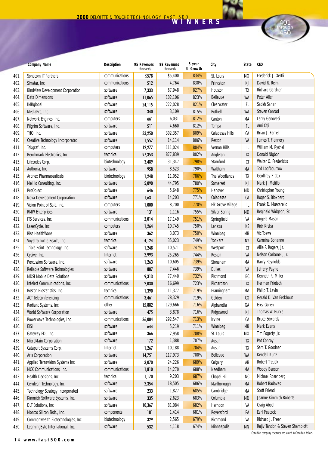|      | <b>Company Name</b>                     | <b>Description</b> | 95 Revenues<br>(thousands) | 99 Revenues<br>(thousands) | 5-year<br>% Growth | City                     | <b>State</b>   | <b>CEO</b>                      |
|------|-----------------------------------------|--------------------|----------------------------|----------------------------|--------------------|--------------------------|----------------|---------------------------------|
| 401. | Sonacom IT Partners                     | communications     | \$578                      | \$5,400                    | 834%               | St. Louis                | M <sub>0</sub> | Frederick J. Oertli             |
| 402. | Simstar, Inc.                           | communications     | 512                        | 4,764                      | 830%               | Princeton                | <b>NJ</b>      | David R. Reim                   |
| 403. | <b>BindView Development Corporation</b> | software           | 7,333                      | 67,948                     | 827%               | Houston                  | TX             | <b>Richard Gardner</b>          |
| 404. | Data Dimensions                         | software           | 11,065                     | 102,106                    | 823%               | Bellevue                 | <b>WA</b>      | Peter Allen                     |
| 405. | <b>IMRglobal</b>                        | software           | 24,115                     | 222,028                    | 821%               | Clearwater               | <b>FL</b>      | Satish Sanan                    |
| 406. | MediaPro, Inc.                          | software           | 340                        | 3,109                      | 815%               | <b>Bothell</b>           | <b>WA</b>      | <b>Steven Conrad</b>            |
| 407. | Network Engines, Inc.                   | computers          | 661                        | 6,031                      | 812%               | Canton                   | MA             | Larry Genovesi                  |
| 408. | Pilgrim Software, Inc.                  | software           | 511                        | 4,660                      | 812%               | Tampa                    | FL.            | Ami Otji                        |
| 409. | THQ, Inc.                               | software           | 33,250                     | 302,357                    | 809%               | <b>Calabasas Hills</b>   | СA             | Brian J. Farrell                |
| 410. | Creative Technology Incorporated        | software           | 1,557                      | 14,114                     | 806%               | Reston                   | VA             | James T. Flannery               |
| 411. | Tekgraf, Inc.                           | computers          | 12,277                     | 111,024                    | 804%               | <b>Vernon Hills</b>      | IL             | William M. Rychel               |
| 412. | Benchmark Electronics, Inc.             | technical          | 97,353                     | 877,839                    | 802%               | Angleton                 | TX             | <b>Donald Nigbor</b>            |
| 413. | Lifecodes Corp.                         | biotechnology      | 3,489                      | 31,347                     | 798%               | Stamford                 | CT             | Walter O. Fredericks            |
| 414. | Authoria, Inc.                          | software           | 958                        | 8,523                      | 790%               | Waltham                  | MA             | <b>Tod Loofbourrow</b>          |
| 415. | <b>Aronex Pharmaceuticals</b>           | biotechnology      | 1,248                      | 11,052                     | 786%               | The Woodlands            | TX             | Geoffrey F. Cox                 |
| 416. | Melillo Consulting, Inc.                | software           | 5,090                      | 44,795                     | 780%               | Somerset                 | <b>NJ</b>      | Mark J. Melillo                 |
| 417. | ProObject                               | software           | 646                        | 5,648                      | 775%               | Hanover                  | <b>MD</b>      | Christopher Young               |
| 418. | Nova Development Corporation            | software           | 1,631                      | 14,203                     | 771%               | Calabasas                | CA             | Roger S. Bloxberg               |
| 419. | Vision Point of Sale, Inc.              | computers          | 1,000                      | 8,700                      | 770%               | <b>Elk Grove Village</b> | IL             | Frank D. Muscarello             |
| 420. | <b>RMW Enterprises</b>                  | software           | 131                        | 1,116                      | 755%               | <b>Silver Spring</b>     | <b>MD</b>      | Reginald Widgeon, Sr.           |
| 421. | ITS Services, Inc.                      | communications     | 2,014                      | 17,149                     | 751%               | Springfield              | VA             | Angela Mason                    |
| 422. | LaserCycle, Inc.                        | computers          | 1,264                      | 10,745                     | 750%               | Lenexa                   | KS             | Rick Krska                      |
| 423. | <b>Rise HealthWare</b>                  | software           | 362                        | 3,073                      | 750%               | Winnipeg                 | MB             | <b>Vic Toews</b>                |
| 424. | Voyetra Turtle Beach, Inc.              | technical          | 4,124                      | 35,023                     | 749%               | Yonkers                  | <b>NY</b>      | Carmine Bonanno                 |
| 425. | Triple Point Technology, Inc.           | software           | 1,248                      | 10,571                     | 747%               | Westport                 | CT             | Allie P. Rogers, Jr.            |
| 426. | Cysive, Inc.                            | Internet           | 2,993                      | 25,265                     | 744%               | Reston                   | VA             | Nelson Carbonell, Jr.           |
| 427. | Percussion Software, Inc.               | software           | 1,263                      | 10,605                     | 739%               | Stoneham                 | MA             | <b>Barry Reynolds</b>           |
| 428. | Reliable Software Technologies          | software           | 887                        | 7,446                      | 739%               | <b>Dulles</b>            | VA             | Jeffery Payne                   |
| 429. | <b>MDSI Mobile Data Solutions</b>       | software           | 9,313                      | 77,440                     | 732%               | Richmond                 | BC             | Kenneth R. Miller               |
| 430. | Intelect Communications, Inc.           | communications     | 2,030                      | 16,699                     | 723%               | Richardson               | TX             | Herman Frietsch                 |
| 431. | Boston Biostatistics, Inc.              | technical          | 1,390                      | 11,377                     | 719%               | Framingham               | MA             | Philip T. Lavin                 |
| 432. | <b>ACT Teleconferencing</b>             | communications     | 3,461                      | 28,329                     | 719%               | Golden                   | C <sub>0</sub> | Gerald D. Van Eeckhout          |
| 433. | Radiant Systems, Inc.                   | other              | 15,882                     | 129,666                    | 716%               | Alpharetta               | GA             | Erez Goren                      |
| 434. | World Software Corporation              | software           | 475                        | 3,878                      | 716%               | Ridgewood                | <b>NJ</b>      | Thomas W. Burke                 |
| 435. | Powerwave Technologies, Inc.            | communications     | 36,004                     | 292,547                    | 713%               | Irvine                   | СA             | <b>Bruce Edwards</b>            |
| 436. | <b>EISI</b>                             | software           | 644                        | 5,219                      | 711%               | Winnipeg                 | <b>MB</b>      | Mark Evans                      |
| 437. | Gateway EDI, Inc.                       | software           | 366                        | 2,958                      | 708%               | St. Louis                | MО             | Tim Fogerty, Jr.                |
| 438. | MicroMain Corporation                   | software           | 172                        | 1,388                      | 707%               | Austin                   | TX             | Pat Conroy                      |
| 439. | Catapult Systems Corp.                  | Internet           | 1,267                      | 10,188                     | 704%               | Austin                   | TX             | Sam T. Goodner                  |
| 440. | <b>Aris Corporation</b>                 | software           | 14,751                     | 117,973                    | 700%               | Bellevue                 | WA             | Kendall Kunz                    |
| 441. | Applied Terravision Systems Inc.        | software           | 3,070                      | 24,226                     | 689%               | Calgary                  | AB             | <b>Robert Tretiak</b>           |
| 442. | MCK Communications, Inc.                | communications     | 1,810                      | 14,270                     | 688%               | Needham                  | МA             | <b>Woody Benson</b>             |
| 443. | Health Decisions, Inc.                  | technical          | 1,170                      | 9,203                      | 687%               | Chapel Hill              | NC             | Michael Rosenberg               |
| 444. | Cerulean Technology, Inc.               | software           | 2,354                      | 18,505                     | 686%               | Marlborough              | МA             | Robert Badavas                  |
| 445. | <b>Technology Strategy Incorporated</b> | software           | 233                        | 1,827                      | 685%               | Cambridge                | МA             | <b>Scott Friend</b>             |
| 446. | Kimmich Software Systems, Inc.          | software           | 335                        | 2,623                      | 683%               | Columbia                 | MD             | Jeanne Kimmich Roberts          |
| 447. | DLT Solutions, Inc.                     | software           | 10,367                     | 81,084                     | 682%               | Herndon                  | VA             | <b>Craig Abod</b>               |
| 448. | Montco Silicon Tech., Inc.              | components         | 181                        | 1,414                      | 681%               | Royersford               | PA             | <b>Earl Peacock</b>             |
| 449. | Commonwealth Biotechnologies, Inc.      | biotechnology      | 329                        | 2,565                      | 679%               | Richmond                 | VA             | Richard J. Freer                |
| 450. | LearningByte International, Inc.        | software           | 532                        | 4,118                      | 674%               | Minneapolis              | MN             | Rajiv Tandon & Steven Shamblott |

14 **www.fast500.com**

Canadian company revenues are stated in Canadian dollars.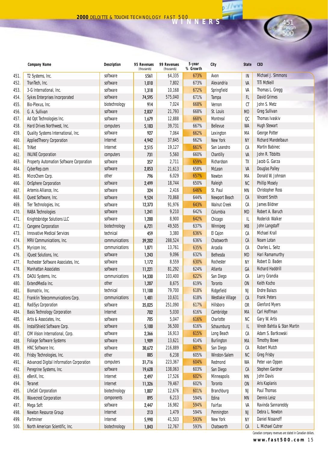|      | <b>Company Name</b>                      | <b>Description</b> | 95 Revenues<br>(thousands) | 99 Revenues<br>(thousands) | 5-year<br>% Growth | City                | <b>State</b>   | <b>CEO</b>                  |
|------|------------------------------------------|--------------------|----------------------------|----------------------------|--------------------|---------------------|----------------|-----------------------------|
| 451. | T2 Systems, Inc.                         | software           | \$561                      | \$4,335                    | 673%               | Avon                | IN             | Michael J. Simmons          |
| 452. | TranTech, Inc.                           | software           | 1,010                      | 7,802                      | 673%               | Alexandria          | VA             | <b>TiTi McNeill</b>         |
| 453. | 3-G International, Inc.                  | software           | 1,318                      | 10,168                     | 672%               | Springfield         | VA             | Thomas L. Gregg             |
| 454. | Sykes Enterprises Incorporated           | software           | 74,595                     | 575,040                    | 671%               | Tampa               | <b>FL</b>      | <b>David Grimes</b>         |
| 455. | Bio-Plexus, Inc.                         | biotechnology      | 914                        | 7,024                      | 668%               | Vernon              | $C$ T          | John S. Metz                |
| 456. | G. A. Sullivan                           | software           | 2,837                      | 21,793                     | 668%               | St. Louis           | M <sub>0</sub> | Greg Sullivan               |
| 457. | Ad Opt Technologies Inc.                 | software           | 1,679                      | 12,888                     | 668%               | Montreal            | QC             | Thomas Ivaskiv              |
| 458. | Hard Drives Northwest, Inc.              | computers          | 5,183                      | 39,731                     | 667%               | <b>Bellevue</b>     | <b>WA</b>      | <b>Hugh Stewart</b>         |
| 459. | Quality Systems International, Inc.      | software           | 927                        | 7,064                      | 662%               | Lexington           | МA             | George Potter               |
| 460. | <b>AppliedTheory Corporation</b>         | Internet           | 4,942                      | 37,645                     | 662%               | New York            | <b>NY</b>      | Richard Mandelbaun          |
| 461. | TriNet                                   | Internet           | 2,515                      | 19,127                     | 661%               | San Leandro         | СA             | <b>Martin Babinec</b>       |
| 462. | <b>INLINE Corporation</b>                | computers          | 731                        | 5,560                      | 660%               | Chantilly           | VA             | John R. Tibbitts            |
| 463. | Property Automation Software Corporation | software           | 357                        | 2,711                      | 659%               | Richardson          | TX             | Jacob G. Garza              |
| 464. | CyberRep.com                             | software           | 2,853                      | 21,613                     | 658%               | McLean              | VA             | <b>Douglas Palley</b>       |
| 465. | MicroChem Corp.                          | other              | 796                        | 6,029                      | 657%               | Newton              | MA             | Donald W. Johnson           |
| 466. | <b>OnSphere Corporation</b>              | software           | 2,499                      | 18,744                     | 650%               | Raleigh             | <b>NC</b>      | <b>Phillip Mosely</b>       |
| 467. | Artemis Alliance, Inc.                   | software           | 324                        | 2,416                      | 646%               | St. Paul            | <b>MN</b>      | <b>Christopher Ross</b>     |
| 468. | Quest Software, Inc.                     | software           | 9,524                      | 70,868                     | 644%               | Newport Beach       | CA             | <b>Vincent Smith</b>        |
| 469. | Tier Technologies, Inc.                  | software           | 12,373                     | 91,976                     | 643%               | <b>Walnut Creek</b> | СA             | James Bildner               |
| 470. | <b>RABA Technologies</b>                 | software           | 1,241                      | 9,210                      | 642%               | Columbia            | <b>MD</b>      | Robert A. Baruch            |
| 471. | Knightsbridge Solutions LLC              | software           | 1,200                      | 8,900                      | 642%               | Chicago             | IL             | <b>Roderick Walker</b>      |
| 472. | <b>Cangene Corporation</b>               | biotechnology      | 6,721                      | 49,505                     | 637%               | Winnipeg            | <b>MB</b>      | John Langstaff              |
| 473. | <b>Innovative Medical Services</b>       | technical          | 459                        | 3,380                      | 636%               | El Cajon            | СA             | Michael Krall               |
| 474. | MRV Communications, Inc.                 | communications     | 39,202                     | 288,524                    | 636%               | Chatsworth          | CA             | Noam Lotan                  |
| 475. | Myricom Inc.                             | communications     | 1,871                      | 13,761                     | 635%               | Arcadia             | СA             | Charles L. Seitz            |
| 476. | iQuest Solutions, Inc.                   | software           | 1,243                      | 9,096                      | 632%               | Bethesda            | <b>MD</b>      | Hari Ramamurthy             |
| 477. | Rochester Software Associates, Inc.      | software           | 1,172                      | 8,559                      | 630%               | Rochester           | <b>NY</b>      | Robert D. Baden             |
| 478. | <b>Manhattan Associates</b>              | software           | 11,221                     | 81,292                     | 624%               | Atlanta             | GA             | <b>Richard Haddrill</b>     |
| 479. | DAOU Systems, Inc.                       | communications     | 14,330                     | 103,400                    | 622%               | San Diego           | СA             | Larry Grandia               |
| 480. | ExtendMedia Inc.                         | other              | 1,207                      | 8,675                      | 619%               | <b>Toronto</b>      | <b>ON</b>      | Keith Kocho                 |
| 481. | Biomatrix, Inc.                          | technical          | 11,100                     | 79,700                     | 618%               | Ridgefield          | <b>NJ</b>      | <b>Endre Balazs</b>         |
| 482. | Franklin Telecommunications Corp.        | communications     | 1,481                      | 10,631                     | 618%               | Westlake Village    | CA             | <b>Frank Peters</b>         |
| 483. | <b>RadiSys Corporation</b>               | software           | 35,025                     | 251,090                    | 617%               | Hillsboro           | <b>OR</b>      | <b>Glenford Myers</b>       |
| 484. | <b>Basis Technology Corporation</b>      | Internet           | 702                        | 5,030                      | 616%               | Cambridge           | MA             | Carl Hoffman                |
| 485. | Artis & Associates, Inc.                 | software           | 705                        | 5,047                      | 616%               | Charlotte           | <b>NC</b>      | Gary W. Artis               |
| 486. | InstallShield Software Corp.             | software           | 5,100                      | 36,500                     | 616%               | Schaumburg          | IL             | Viresh Bahtia & Stan Martin |
| 487. | CIM Vision International, Corp.          | software           | 2,366                      | 16,913                     | 615%               | Long Beach          | СA             | Adam S. Bartkowski          |
| 488. | <b>Foliage Software Systems</b>          | software           | 1,909                      | 13,621                     | 614%               | Burlington          | MA             | <b>Timothy Bowe</b>         |
| 489. | HNC Software Inc.                        | software           | 30,672                     | 216,889                    | 607%               | San Diego           | СA             | <b>Robert Mutch</b>         |
| 490. | Frisby Technologies, Inc.                | other              | 885                        | 6,238                      | 605%               | Winston-Salem       | NC             | <b>Greg Frisby</b>          |
| 491. | Advanced Digital Information Corporation | computers          | 31,716                     | 223,367                    | 604%               | Redmond             | WA             | Peter van Oppen             |
| 492. | Peregrine Systems, Inc.                  | software           | 19,628                     | 138,063                    | 603%               | San Diego           | СA             | Stephen Gardner             |
| 493. | eBenX, Inc.                              | Internet           | 2,497                      | 17,526                     | 602%               | Minneapolis         | MN             | John Davis                  |
| 494. | Teranet                                  | Internet           | 11,326                     | 79,467                     | 602%               | Toronto             | <b>ON</b>      | Aris Kaplanis               |
| 495. | <b>LifeCell Corporation</b>              | biotechnology      | 1,807                      | 12,676                     | 601%               | Branchburg          | NJ             | Paul Thomas                 |
| 496. | <b>Wavecrest Corporation</b>             | components         | 895                        | 6,213                      | 594%               | Edina               | <b>MN</b>      | Dennis Leisz                |
| 497. | Mega Soft                                | software           | 2,447                      | 16,982                     | 594%               | Fairfax             | VA             | Ravinda Sannareddy          |
| 498. | Newton Resource Group                    | Internet           | 213                        | 1,479                      | 594%               | Pennington          | $\mathsf{NJ}$  | Debra L. Newton             |
| 499. | Partminer                                | Internet           | 5,990                      | 41,503                     | 593%               | New York            | <b>NY</b>      | Daniel Nissanoff            |
| 500. | North American Scientific, Inc.          | biotechnology      | 1,843                      | 12,767                     | 593%               | Chatsworth          | СA             | L. Michael Cutrer           |

Canadian company revenues are stated in Canadian dollars.

451 through 500

ERR

**www.fast500.com** 1 5